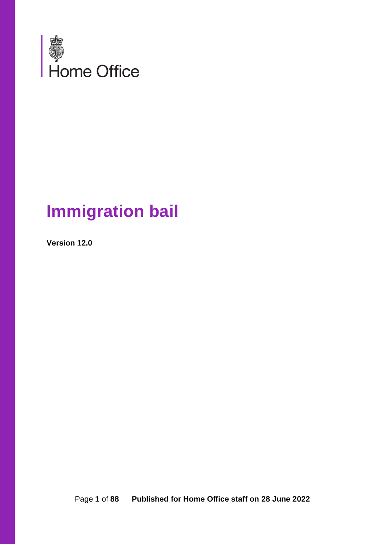

# **Immigration bail**

**Version 12.0**

Page **1** of **88 Published for Home Office staff on 28 June 2022**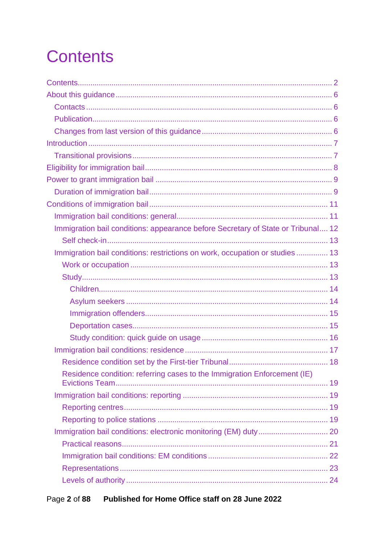# <span id="page-1-0"></span>**Contents**

| Immigration bail conditions: appearance before Secretary of State or Tribunal 12 |  |
|----------------------------------------------------------------------------------|--|
|                                                                                  |  |
| Immigration bail conditions: restrictions on work, occupation or studies  13     |  |
|                                                                                  |  |
|                                                                                  |  |
|                                                                                  |  |
|                                                                                  |  |
|                                                                                  |  |
|                                                                                  |  |
|                                                                                  |  |
|                                                                                  |  |
|                                                                                  |  |
| Residence condition: referring cases to the Immigration Enforcement (IE)         |  |
|                                                                                  |  |
|                                                                                  |  |
|                                                                                  |  |
|                                                                                  |  |
|                                                                                  |  |
|                                                                                  |  |
|                                                                                  |  |
|                                                                                  |  |
|                                                                                  |  |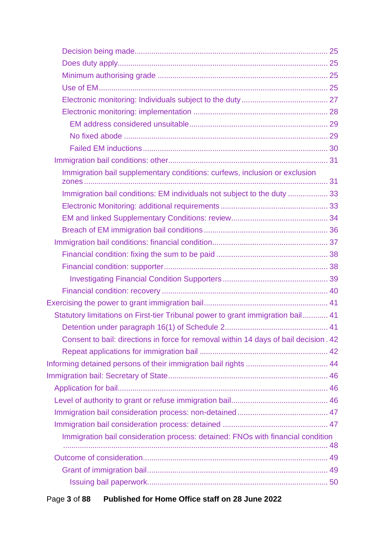| Immigration bail supplementary conditions: curfews, inclusion or exclusion           |  |
|--------------------------------------------------------------------------------------|--|
| Immigration bail conditions: EM individuals not subject to the duty  33              |  |
|                                                                                      |  |
|                                                                                      |  |
|                                                                                      |  |
|                                                                                      |  |
|                                                                                      |  |
|                                                                                      |  |
|                                                                                      |  |
|                                                                                      |  |
|                                                                                      |  |
| Statutory limitations on First-tier Tribunal power to grant immigration bail 41      |  |
|                                                                                      |  |
| Consent to bail: directions in force for removal within 14 days of bail decision. 42 |  |
|                                                                                      |  |
|                                                                                      |  |
|                                                                                      |  |
|                                                                                      |  |
|                                                                                      |  |
|                                                                                      |  |
|                                                                                      |  |
| Immigration bail consideration process: detained: FNOs with financial condition      |  |
|                                                                                      |  |
|                                                                                      |  |
|                                                                                      |  |
|                                                                                      |  |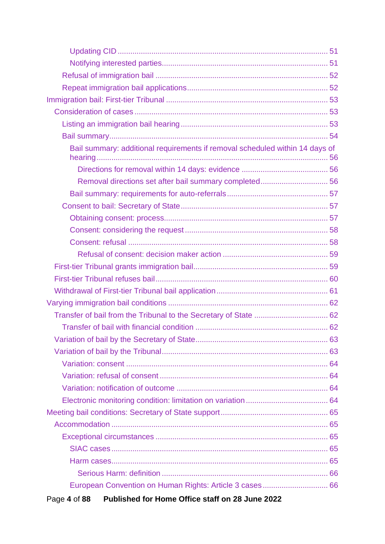| Bail summary: additional requirements if removal scheduled within 14 days of |  |
|------------------------------------------------------------------------------|--|
|                                                                              |  |
|                                                                              |  |
|                                                                              |  |
|                                                                              |  |
|                                                                              |  |
|                                                                              |  |
|                                                                              |  |
|                                                                              |  |
|                                                                              |  |
|                                                                              |  |
|                                                                              |  |
|                                                                              |  |
|                                                                              |  |
|                                                                              |  |
|                                                                              |  |
|                                                                              |  |
|                                                                              |  |
|                                                                              |  |
|                                                                              |  |
|                                                                              |  |
|                                                                              |  |
|                                                                              |  |
|                                                                              |  |
|                                                                              |  |
|                                                                              |  |
|                                                                              |  |
| European Convention on Human Rights: Article 3 cases 66                      |  |
| Published for Home Office staff on 28 June 2022<br>Page 4 of 88              |  |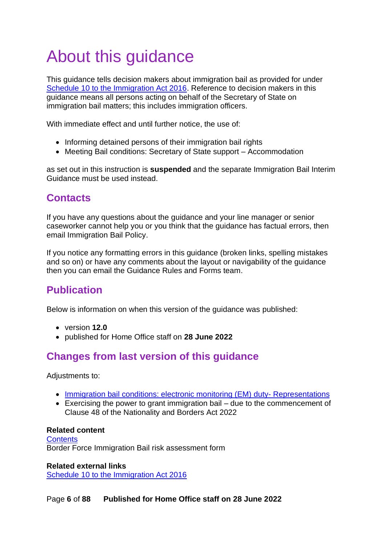# <span id="page-5-0"></span>About this guidance

This guidance tells decision makers about immigration bail as provided for under [Schedule 10 to the Immigration Act 2016.](http://www.legislation.gov.uk/ukpga/2016/19/schedule/10) Reference to decision makers in this guidance means all persons acting on behalf of the Secretary of State on immigration bail matters; this includes immigration officers.

With immediate effect and until further notice, the use of:

- Informing detained persons of their immigration bail rights
- Meeting Bail conditions: Secretary of State support Accommodation

as set out in this instruction is **suspended** and the separate Immigration Bail Interim Guidance must be used instead.

# <span id="page-5-1"></span>**Contacts**

If you have any questions about the guidance and your line manager or senior caseworker cannot help you or you think that the guidance has factual errors, then email Immigration Bail Policy.

If you notice any formatting errors in this guidance (broken links, spelling mistakes and so on) or have any comments about the layout or navigability of the guidance then you can email the Guidance Rules and Forms team.

# <span id="page-5-2"></span>**Publication**

Below is information on when this version of the guidance was published:

- version **12.0**
- published for Home Office staff on **28 June 2022**

# <span id="page-5-3"></span>**Changes from last version of this guidance**

Adjustments to:

- [Immigration bail conditions: electronic monitoring \(EM\)](#page-22-0) duty- Representations
- Exercising the power to grant immigration bail due to the commencement of Clause 48 of the Nationality and Borders Act 2022

#### **Related content**

**[Contents](#page-1-0)** Border Force Immigration Bail risk assessment form

**Related external links** [Schedule 10 to the Immigration Act 2016](http://www.legislation.gov.uk/ukpga/2016/19/schedule/10)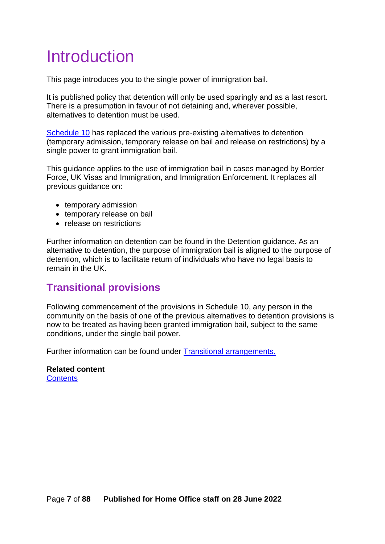# <span id="page-6-0"></span>Introduction

This page introduces you to the single power of immigration bail.

It is published policy that detention will only be used sparingly and as a last resort. There is a presumption in favour of not detaining and, wherever possible, alternatives to detention must be used.

[Schedule 10](http://www.legislation.gov.uk/ukpga/2016/19/schedule/10) has replaced the various pre-existing alternatives to detention (temporary admission, temporary release on bail and release on restrictions) by a single power to grant immigration bail.

This guidance applies to the use of immigration bail in cases managed by Border Force, UK Visas and Immigration, and Immigration Enforcement. It replaces all previous guidance on:

- temporary admission
- temporary release on bail
- release on restrictions

Further information on detention can be found in the Detention guidance. As an alternative to detention, the purpose of immigration bail is aligned to the purpose of detention, which is to facilitate return of individuals who have no legal basis to remain in the UK.

## <span id="page-6-1"></span>**Transitional provisions**

Following commencement of the provisions in Schedule 10, any person in the community on the basis of one of the previous alternatives to detention provisions is now to be treated as having been granted immigration bail, subject to the same conditions, under the single bail power.

Further information can be found under [Transitional arrangements.](#page-84-1)

**Related content [Contents](#page-1-0)**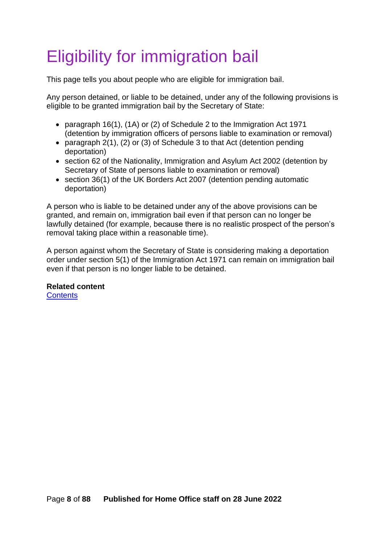# <span id="page-7-0"></span>Eligibility for immigration bail

This page tells you about people who are eligible for immigration bail.

Any person detained, or liable to be detained, under any of the following provisions is eligible to be granted immigration bail by the Secretary of State:

- paragraph 16(1), (1A) or (2) of Schedule 2 to the Immigration Act 1971 (detention by immigration officers of persons liable to examination or removal)
- paragraph 2(1), (2) or (3) of Schedule 3 to that Act (detention pending deportation)
- section 62 of the Nationality, Immigration and Asylum Act 2002 (detention by Secretary of State of persons liable to examination or removal)
- section 36(1) of the UK Borders Act 2007 (detention pending automatic deportation)

A person who is liable to be detained under any of the above provisions can be granted, and remain on, immigration bail even if that person can no longer be lawfully detained (for example, because there is no realistic prospect of the person's removal taking place within a reasonable time).

A person against whom the Secretary of State is considering making a deportation order under section 5(1) of the Immigration Act 1971 can remain on immigration bail even if that person is no longer liable to be detained.

**Related content**

**[Contents](#page-1-0)**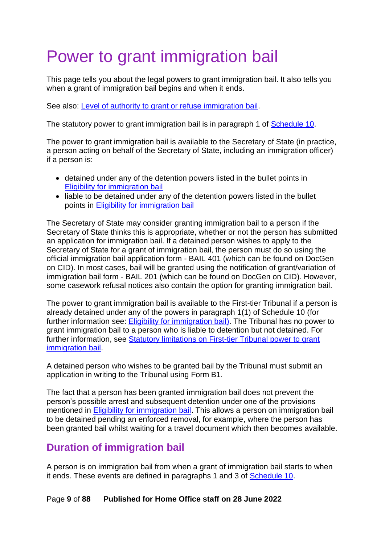# <span id="page-8-0"></span>Power to grant immigration bail

This page tells you about the legal powers to grant immigration bail. It also tells you when a grant of immigration bail begins and when it ends.

See also: [Level of authority to grant or refuse immigration bail.](#page-45-2)

The statutory power to grant immigration bail is in paragraph 1 of [Schedule 10.](http://www.legislation.gov.uk/ukpga/2016/19/schedule/10)

The power to grant immigration bail is available to the Secretary of State (in practice, a person acting on behalf of the Secretary of State, including an immigration officer) if a person is:

- detained under any of the detention powers listed in the bullet points in [Eligibility for immigration bail](#page-7-0)
- liable to be detained under any of the detention powers listed in the bullet points in [Eligibility for immigration bail](#page-7-0)

The Secretary of State may consider granting immigration bail to a person if the Secretary of State thinks this is appropriate, whether or not the person has submitted an application for immigration bail. If a detained person wishes to apply to the Secretary of State for a grant of immigration bail, the person must do so using the official immigration bail application form - BAIL 401 (which can be found on DocGen on CID). In most cases, bail will be granted using the notification of grant/variation of immigration bail form - BAIL 201 (which can be found on DocGen on CID). However, some casework refusal notices also contain the option for granting immigration bail.

The power to grant immigration bail is available to the First-tier Tribunal if a person is already detained under any of the powers in paragraph 1(1) of Schedule 10 (for further information see: [Eligibility for immigration bail\)](#page-7-0). The Tribunal has no power to grant immigration bail to a person who is liable to detention but not detained. For further information, see [Statutory limitations on First-tier Tribunal power to grant](#page-40-1)  [immigration bail.](#page-40-1)

A detained person who wishes to be granted bail by the Tribunal must submit an application in writing to the Tribunal using Form B1.

The fact that a person has been granted immigration bail does not prevent the person's possible arrest and subsequent detention under one of the provisions mentioned in [Eligibility for immigration bail.](#page-7-0) This allows a person on immigration bail to be detained pending an enforced removal, for example, where the person has been granted bail whilst waiting for a travel document which then becomes available.

# <span id="page-8-1"></span>**Duration of immigration bail**

A person is on immigration bail from when a grant of immigration bail starts to when it ends. These events are defined in paragraphs 1 and 3 of **Schedule 10**.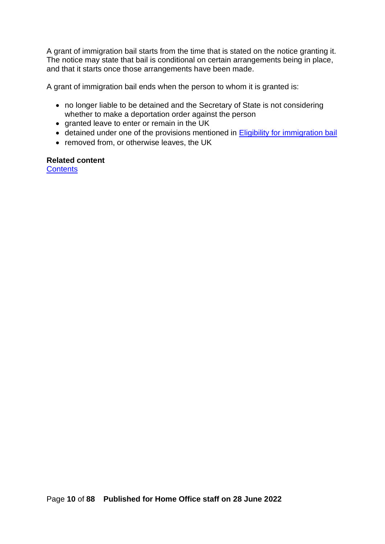A grant of immigration bail starts from the time that is stated on the notice granting it. The notice may state that bail is conditional on certain arrangements being in place, and that it starts once those arrangements have been made.

A grant of immigration bail ends when the person to whom it is granted is:

- no longer liable to be detained and the Secretary of State is not considering whether to make a deportation order against the person
- granted leave to enter or remain in the UK
- detained under one of the provisions mentioned in [Eligibility for immigration bail](#page-7-0)
- removed from, or otherwise leaves, the UK

## **Related content**

**[Contents](#page-1-0)**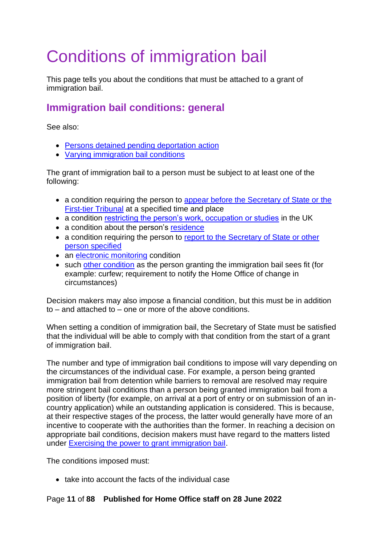# <span id="page-10-0"></span>Conditions of immigration bail

This page tells you about the conditions that must be attached to a grant of immigration bail.

# <span id="page-10-1"></span>**Immigration bail conditions: general**

See also:

- [Persons detained pending deportation action](#page-30-0)
- [Varying immigration bail conditions](#page-61-0)

The grant of immigration bail to a person must be subject to at least one of the following:

- a condition requiring the person to appear before the Secretary of State or the [First-tier Tribunal](#page-11-0) at a specified time and place
- a condition [restricting the person's work, occupation or studies](#page-12-4) in the UK
- a condition about the person's [residence](#page-16-0)
- a condition requiring the person to [report to the Secretary of State or other](#page-18-1)  [person specified](#page-18-1)
- an [electronic monitoring](#page-19-0) condition
- such [other condition](#page-30-0) as the person granting the immigration bail sees fit (for example: curfew; requirement to notify the Home Office of change in circumstances)

Decision makers may also impose a financial condition, but this must be in addition to – and attached to – one or more of the above conditions.

When setting a condition of immigration bail, the Secretary of State must be satisfied that the individual will be able to comply with that condition from the start of a grant of immigration bail.

The number and type of immigration bail conditions to impose will vary depending on the circumstances of the individual case. For example, a person being granted immigration bail from detention while barriers to removal are resolved may require more stringent bail conditions than a person being granted immigration bail from a position of liberty (for example, on arrival at a port of entry or on submission of an incountry application) while an outstanding application is considered. This is because, at their respective stages of the process, the latter would generally have more of an incentive to cooperate with the authorities than the former. In reaching a decision on appropriate bail conditions, decision makers must have regard to the matters listed under [Exercising the power to grant immigration bail.](#page-39-1)

The conditions imposed must:

• take into account the facts of the individual case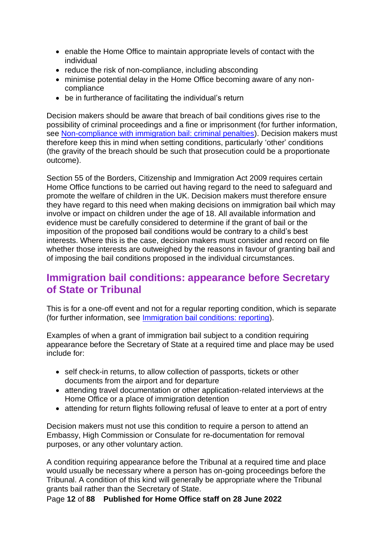- enable the Home Office to maintain appropriate levels of contact with the individual
- reduce the risk of non-compliance, including absconding
- minimise potential delay in the Home Office becoming aware of any noncompliance
- be in furtherance of facilitating the individual's return

Decision makers should be aware that breach of bail conditions gives rise to the possibility of criminal proceedings and a fine or imprisonment (for further information, see [Non-compliance with immigration bail: criminal penalties\)](#page-80-0). Decision makers must therefore keep this in mind when setting conditions, particularly 'other' conditions (the gravity of the breach should be such that prosecution could be a proportionate outcome).

Section 55 of the Borders, Citizenship and Immigration Act 2009 requires certain Home Office functions to be carried out having regard to the need to safeguard and promote the welfare of children in the UK. Decision makers must therefore ensure they have regard to this need when making decisions on immigration bail which may involve or impact on children under the age of 18. All available information and evidence must be carefully considered to determine if the grant of bail or the imposition of the proposed bail conditions would be contrary to a child's best interests. Where this is the case, decision makers must consider and record on file whether those interests are outweighed by the reasons in favour of granting bail and of imposing the bail conditions proposed in the individual circumstances.

# <span id="page-11-0"></span>**Immigration bail conditions: appearance before Secretary of State or Tribunal**

This is for a one-off event and not for a regular reporting condition, which is separate (for further information, see [Immigration bail conditions: reporting\)](#page-18-1).

Examples of when a grant of immigration bail subject to a condition requiring appearance before the Secretary of State at a required time and place may be used include for:

- self check-in returns, to allow collection of passports, tickets or other documents from the airport and for departure
- attending travel documentation or other application-related interviews at the Home Office or a place of immigration detention
- attending for return flights following refusal of leave to enter at a port of entry

Decision makers must not use this condition to require a person to attend an Embassy, High Commission or Consulate for re-documentation for removal purposes, or any other voluntary action.

A condition requiring appearance before the Tribunal at a required time and place would usually be necessary where a person has on-going proceedings before the Tribunal. A condition of this kind will generally be appropriate where the Tribunal grants bail rather than the Secretary of State.

Page **12** of **88 Published for Home Office staff on 28 June 2022**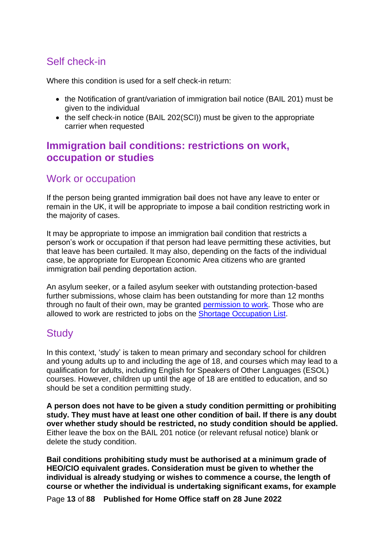# <span id="page-12-0"></span>Self check-in

Where this condition is used for a self check-in return:

- the Notification of grant/variation of immigration bail notice (BAIL 201) must be given to the individual
- the self check-in notice (BAIL 202(SCI)) must be given to the appropriate carrier when requested

## <span id="page-12-4"></span><span id="page-12-1"></span>**Immigration bail conditions: restrictions on work, occupation or studies**

### <span id="page-12-2"></span>Work or occupation

If the person being granted immigration bail does not have any leave to enter or remain in the UK, it will be appropriate to impose a bail condition restricting work in the majority of cases.

It may be appropriate to impose an immigration bail condition that restricts a person's work or occupation if that person had leave permitting these activities, but that leave has been curtailed. It may also, depending on the facts of the individual case, be appropriate for European Economic Area citizens who are granted immigration bail pending deportation action.

An asylum seeker, or a failed asylum seeker with outstanding protection-based further submissions, whose claim has been outstanding for more than 12 months through no fault of their own, may be granted [permission to work.](https://www.gov.uk/government/publications/handling-applications-for-permission-to-take-employment-instruction) Those who are allowed to work are restricted to jobs on the [Shortage Occupation List.](https://www.gov.uk/guidance/immigration-rules/immigration-rules-appendix-k-shortage-occupation-list)

### <span id="page-12-3"></span>**Study**

In this context, 'study' is taken to mean primary and secondary school for children and young adults up to and including the age of 18, and courses which may lead to a qualification for adults, including English for Speakers of Other Languages (ESOL) courses. However, children up until the age of 18 are entitled to education, and so should be set a condition permitting study.

**A person does not have to be given a study condition permitting or prohibiting study. They must have at least one other condition of bail. If there is any doubt over whether study should be restricted, no study condition should be applied.**  Either leave the box on the BAIL 201 notice (or relevant refusal notice) blank or delete the study condition.

**Bail conditions prohibiting study must be authorised at a minimum grade of HEO/CIO equivalent grades. Consideration must be given to whether the individual is already studying or wishes to commence a course, the length of course or whether the individual is undertaking significant exams, for example** 

Page **13** of **88 Published for Home Office staff on 28 June 2022**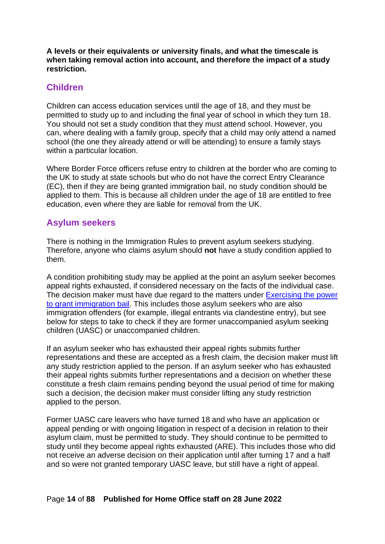**A levels or their equivalents or university finals, and what the timescale is when taking removal action into account, and therefore the impact of a study restriction.** 

#### <span id="page-13-0"></span>**Children**

Children can access education services until the age of 18, and they must be permitted to study up to and including the final year of school in which they turn 18. You should not set a study condition that they must attend school. However, you can, where dealing with a family group, specify that a child may only attend a named school (the one they already attend or will be attending) to ensure a family stays within a particular location.

Where Border Force officers refuse entry to children at the border who are coming to the UK to study at state schools but who do not have the correct Entry Clearance (EC), then if they are being granted immigration bail, no study condition should be applied to them. This is because all children under the age of 18 are entitled to free education, even where they are liable for removal from the UK.

#### <span id="page-13-1"></span>**Asylum seekers**

There is nothing in the Immigration Rules to prevent asylum seekers studying. Therefore, anyone who claims asylum should **not** have a study condition applied to them.

A condition prohibiting study may be applied at the point an asylum seeker becomes appeal rights exhausted, if considered necessary on the facts of the individual case. The decision maker must have due regard to the matters under Exercising the power [to grant immigration bail.](#page-39-1) This includes those asylum seekers who are also immigration offenders (for example, illegal entrants via clandestine entry), but see below for steps to take to check if they are former unaccompanied asylum seeking children (UASC) or unaccompanied children.

If an asylum seeker who has exhausted their appeal rights submits further representations and these are accepted as a fresh claim, the decision maker must lift any study restriction applied to the person. If an asylum seeker who has exhausted their appeal rights submits further representations and a decision on whether these constitute a fresh claim remains pending beyond the usual period of time for making such a decision, the decision maker must consider lifting any study restriction applied to the person.

Former UASC care leavers who have turned 18 and who have an application or appeal pending or with ongoing litigation in respect of a decision in relation to their asylum claim, must be permitted to study. They should continue to be permitted to study until they become appeal rights exhausted (ARE). This includes those who did not receive an adverse decision on their application until after turning 17 and a half and so were not granted temporary UASC leave, but still have a right of appeal.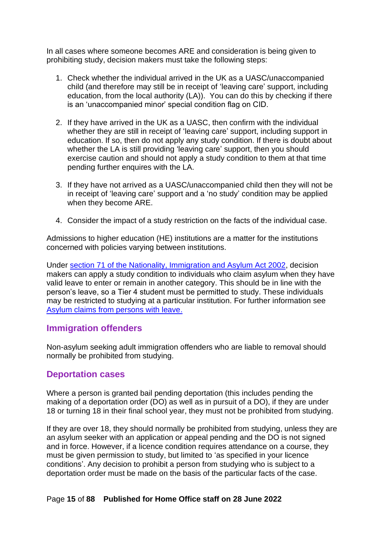In all cases where someone becomes ARE and consideration is being given to prohibiting study, decision makers must take the following steps:

- 1. Check whether the individual arrived in the UK as a UASC/unaccompanied child (and therefore may still be in receipt of 'leaving care' support, including education, from the local authority (LA)). You can do this by checking if there is an 'unaccompanied minor' special condition flag on CID.
- 2. If they have arrived in the UK as a UASC, then confirm with the individual whether they are still in receipt of 'leaving care' support, including support in education. If so, then do not apply any study condition. If there is doubt about whether the LA is still providing 'leaving care' support, then you should exercise caution and should not apply a study condition to them at that time pending further enquires with the LA.
- 3. If they have not arrived as a UASC/unaccompanied child then they will not be in receipt of 'leaving care' support and a 'no study' condition may be applied when they become ARE.
- 4. Consider the impact of a study restriction on the facts of the individual case.

Admissions to higher education (HE) institutions are a matter for the institutions concerned with policies varying between institutions.

Under [section 71 of the Nationality, Immigration and Asylum Act 2002,](http://www.legislation.gov.uk/ukpga/2002/41/section/71) decision makers can apply a study condition to individuals who claim asylum when they have valid leave to enter or remain in another category. This should be in line with the person's leave, so a Tier 4 student must be permitted to study. These individuals may be restricted to studying at a particular institution. For further information see [Asylum claims from persons with leave.](#page-81-2)

#### <span id="page-14-0"></span>**Immigration offenders**

Non-asylum seeking adult immigration offenders who are liable to removal should normally be prohibited from studying.

#### <span id="page-14-1"></span>**Deportation cases**

Where a person is granted bail pending deportation (this includes pending the making of a deportation order (DO) as well as in pursuit of a DO), if they are under 18 or turning 18 in their final school year, they must not be prohibited from studying.

If they are over 18, they should normally be prohibited from studying, unless they are an asylum seeker with an application or appeal pending and the DO is not signed and in force. However, if a licence condition requires attendance on a course, they must be given permission to study, but limited to 'as specified in your licence conditions'. Any decision to prohibit a person from studying who is subject to a deportation order must be made on the basis of the particular facts of the case.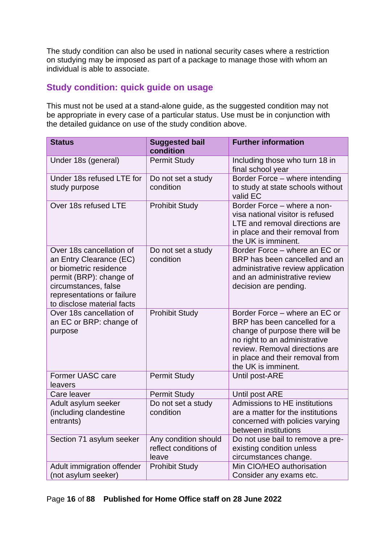The study condition can also be used in national security cases where a restriction on studying may be imposed as part of a package to manage those with whom an individual is able to associate.

#### <span id="page-15-0"></span>**Study condition: quick guide on usage**

This must not be used at a stand-alone guide, as the suggested condition may not be appropriate in every case of a particular status. Use must be in conjunction with the detailed guidance on use of the study condition above.

| <b>Status</b>                                                                                                                                                                                | <b>Suggested bail</b><br>condition                     | <b>Further information</b>                                                                                                                                                                                                    |  |
|----------------------------------------------------------------------------------------------------------------------------------------------------------------------------------------------|--------------------------------------------------------|-------------------------------------------------------------------------------------------------------------------------------------------------------------------------------------------------------------------------------|--|
| Under 18s (general)                                                                                                                                                                          | <b>Permit Study</b>                                    | Including those who turn 18 in<br>final school year                                                                                                                                                                           |  |
| Under 18s refused LTE for<br>study purpose                                                                                                                                                   | Do not set a study<br>condition                        | Border Force - where intending<br>to study at state schools without<br>valid EC                                                                                                                                               |  |
| Over 18s refused LTE                                                                                                                                                                         | <b>Prohibit Study</b>                                  | Border Force - where a non-<br>visa national visitor is refused<br>LTE and removal directions are<br>in place and their removal from<br>the UK is imminent.                                                                   |  |
| Over 18s cancellation of<br>an Entry Clearance (EC)<br>or biometric residence<br>permit (BRP): change of<br>circumstances, false<br>representations or failure<br>to disclose material facts | Do not set a study<br>condition                        | Border Force – where an EC or<br>BRP has been cancelled and an<br>administrative review application<br>and an administrative review<br>decision are pending.                                                                  |  |
| Over 18s cancellation of<br>an EC or BRP: change of<br>purpose                                                                                                                               | <b>Prohibit Study</b>                                  | Border Force – where an EC or<br>BRP has been cancelled for a<br>change of purpose there will be<br>no right to an administrative<br>review. Removal directions are<br>in place and their removal from<br>the UK is imminent. |  |
| Former UASC care<br>leavers                                                                                                                                                                  | <b>Permit Study</b>                                    | Until post-ARE                                                                                                                                                                                                                |  |
| Care leaver                                                                                                                                                                                  | <b>Permit Study</b>                                    | Until post ARE                                                                                                                                                                                                                |  |
| Adult asylum seeker<br>(including clandestine<br>entrants)                                                                                                                                   | Do not set a study<br>condition                        | Admissions to HE institutions<br>are a matter for the institutions<br>concerned with policies varying<br>between institutions                                                                                                 |  |
| Section 71 asylum seeker                                                                                                                                                                     | Any condition should<br>reflect conditions of<br>leave | Do not use bail to remove a pre-<br>existing condition unless<br>circumstances change.                                                                                                                                        |  |
| Adult immigration offender<br>(not asylum seeker)                                                                                                                                            | <b>Prohibit Study</b>                                  | Min CIO/HEO authorisation<br>Consider any exams etc.                                                                                                                                                                          |  |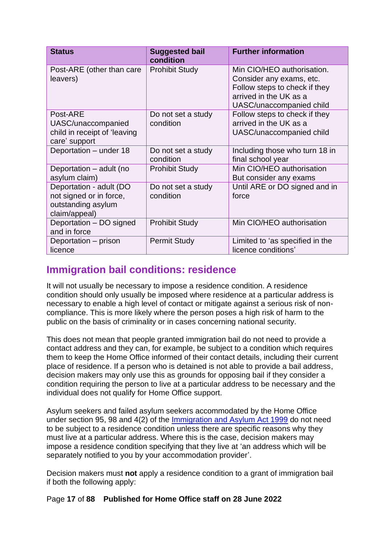| <b>Status</b>                                                                             | <b>Suggested bail</b><br>condition | <b>Further information</b>                                                                                                                    |  |
|-------------------------------------------------------------------------------------------|------------------------------------|-----------------------------------------------------------------------------------------------------------------------------------------------|--|
| Post-ARE (other than care<br>leavers)                                                     | <b>Prohibit Study</b>              | Min CIO/HEO authorisation.<br>Consider any exams, etc.<br>Follow steps to check if they<br>arrived in the UK as a<br>UASC/unaccompanied child |  |
| Post-ARE<br>UASC/unaccompanied<br>child in receipt of 'leaving<br>care' support           | Do not set a study<br>condition    | Follow steps to check if they<br>arrived in the UK as a<br>UASC/unaccompanied child                                                           |  |
| Deportation - under 18                                                                    | Do not set a study<br>condition    | Including those who turn 18 in<br>final school year                                                                                           |  |
| Deportation - adult (no<br>asylum claim)                                                  | <b>Prohibit Study</b>              | Min CIO/HEO authorisation<br>But consider any exams                                                                                           |  |
| Deportation - adult (DO<br>not signed or in force,<br>outstanding asylum<br>claim/appeal) | Do not set a study<br>condition    | Until ARE or DO signed and in<br>force                                                                                                        |  |
| Deportation - DO signed<br>and in force                                                   | <b>Prohibit Study</b>              | Min CIO/HEO authorisation                                                                                                                     |  |
| Deportation – prison<br>licence                                                           | <b>Permit Study</b>                | Limited to 'as specified in the<br>licence conditions'                                                                                        |  |

## <span id="page-16-0"></span>**Immigration bail conditions: residence**

It will not usually be necessary to impose a residence condition. A residence condition should only usually be imposed where residence at a particular address is necessary to enable a high level of contact or mitigate against a serious risk of noncompliance. This is more likely where the person poses a high risk of harm to the public on the basis of criminality or in cases concerning national security.

This does not mean that people granted immigration bail do not need to provide a contact address and they can, for example, be subject to a condition which requires them to keep the Home Office informed of their contact details, including their current place of residence. If a person who is detained is not able to provide a bail address, decision makers may only use this as grounds for opposing bail if they consider a condition requiring the person to live at a particular address to be necessary and the individual does not qualify for Home Office support.

Asylum seekers and failed asylum seekers accommodated by the Home Office under section 95, 98 and 4(2) of the [Immigration and Asylum Act 1999](http://www.legislation.gov.uk/ukpga/1999/33/contents) do not need to be subject to a residence condition unless there are specific reasons why they must live at a particular address. Where this is the case, decision makers may impose a residence condition specifying that they live at 'an address which will be separately notified to you by your accommodation provider'.

Decision makers must **not** apply a residence condition to a grant of immigration bail if both the following apply:

Page **17** of **88 Published for Home Office staff on 28 June 2022**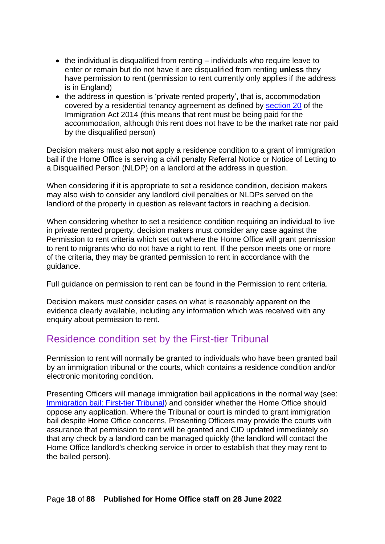- the individual is disqualified from renting individuals who require leave to enter or remain but do not have it are disqualified from renting **unless** they have permission to rent (permission to rent currently only applies if the address is in England)
- the address in question is 'private rented property', that is, accommodation covered by a residential tenancy agreement as defined by [section 20](http://www.legislation.gov.uk/ukpga/2014/22/section/20) of the Immigration Act 2014 (this means that rent must be being paid for the accommodation, although this rent does not have to be the market rate nor paid by the disqualified person)

Decision makers must also **not** apply a residence condition to a grant of immigration bail if the Home Office is serving a civil penalty Referral Notice or Notice of Letting to a Disqualified Person (NLDP) on a landlord at the address in question.

When considering if it is appropriate to set a residence condition, decision makers may also wish to consider any landlord civil penalties or NLDPs served on the landlord of the property in question as relevant factors in reaching a decision.

When considering whether to set a residence condition requiring an individual to live in private rented property, decision makers must consider any case against the Permission to rent criteria which set out where the Home Office will grant permission to rent to migrants who do not have a right to rent. If the person meets one or more of the criteria, they may be granted permission to rent in accordance with the guidance.

Full guidance on permission to rent can be found in the Permission to rent criteria.

Decision makers must consider cases on what is reasonably apparent on the evidence clearly available, including any information which was received with any enquiry about permission to rent.

## <span id="page-17-0"></span>Residence condition set by the First-tier Tribunal

Permission to rent will normally be granted to individuals who have been granted bail by an immigration tribunal or the courts, which contains a residence condition and/or electronic monitoring condition.

Presenting Officers will manage immigration bail applications in the normal way (see: [Immigration bail: First-tier Tribunal\)](#page-52-0) and consider whether the Home Office should oppose any application. Where the Tribunal or court is minded to grant immigration bail despite Home Office concerns, Presenting Officers may provide the courts with assurance that permission to rent will be granted and CID updated immediately so that any check by a landlord can be managed quickly (the landlord will contact the Home Office landlord's checking service in order to establish that they may rent to the bailed person).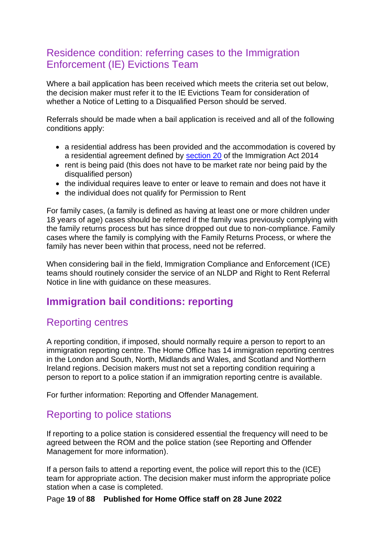## <span id="page-18-0"></span>Residence condition: referring cases to the Immigration Enforcement (IE) Evictions Team

Where a bail application has been received which meets the criteria set out below, the decision maker must refer it to the IE Evictions Team for consideration of whether a Notice of Letting to a Disqualified Person should be served.

Referrals should be made when a bail application is received and all of the following conditions apply:

- a residential address has been provided and the accommodation is covered by a residential agreement defined by [section 20](http://www.legislation.gov.uk/ukpga/2014/22/section/20) of the Immigration Act 2014
- rent is being paid (this does not have to be market rate nor being paid by the disqualified person)
- the individual requires leave to enter or leave to remain and does not have it
- the individual does not qualify for Permission to Rent

For family cases, (a family is defined as having at least one or more children under 18 years of age) cases should be referred if the family was previously complying with the family returns process but has since dropped out due to non-compliance. Family cases where the family is complying with the Family Returns Process, or where the family has never been within that process, need not be referred.

When considering bail in the field, Immigration Compliance and Enforcement (ICE) teams should routinely consider the service of an NLDP and Right to Rent Referral Notice in line with guidance on these measures.

## <span id="page-18-1"></span>**Immigration bail conditions: reporting**

## <span id="page-18-2"></span>Reporting centres

A reporting condition, if imposed, should normally require a person to report to an immigration reporting centre. The Home Office has 14 immigration reporting centres in the London and South, North, Midlands and Wales, and Scotland and Northern Ireland regions. Decision makers must not set a reporting condition requiring a person to report to a police station if an immigration reporting centre is available.

For further information: Reporting and Offender Management.

## <span id="page-18-3"></span>Reporting to police stations

If reporting to a police station is considered essential the frequency will need to be agreed between the ROM and the police station (see Reporting and Offender Management for more information).

If a person fails to attend a reporting event, the police will report this to the (ICE) team for appropriate action. The decision maker must inform the appropriate police station when a case is completed.

Page **19** of **88 Published for Home Office staff on 28 June 2022**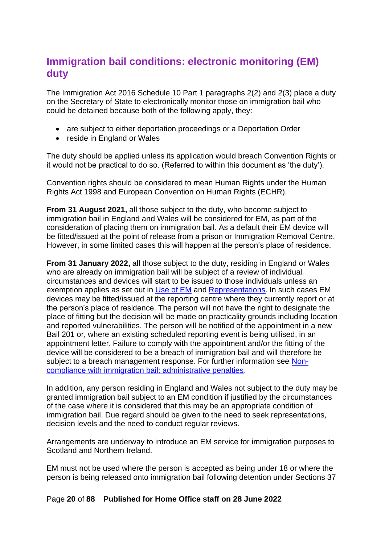# <span id="page-19-0"></span>**Immigration bail conditions: electronic monitoring (EM) duty**

The Immigration Act 2016 Schedule 10 Part 1 paragraphs 2(2) and 2(3) place a duty on the Secretary of State to electronically monitor those on immigration bail who could be detained because both of the following apply, they:

- are subject to either deportation proceedings or a Deportation Order
- reside in England or Wales

The duty should be applied unless its application would breach Convention Rights or it would not be practical to do so. (Referred to within this document as 'the duty').

Convention rights should be considered to mean Human Rights under the Human Rights Act 1998 and European Convention on Human Rights (ECHR).

**From 31 August 2021,** all those subject to the duty, who become subject to immigration bail in England and Wales will be considered for EM, as part of the consideration of placing them on immigration bail. As a default their EM device will be fitted/issued at the point of release from a prison or Immigration Removal Centre. However, in some limited cases this will happen at the person's place of residence.

**From 31 January 2022,** all those subject to the duty, residing in England or Wales who are already on immigration bail will be subject of a review of individual circumstances and devices will start to be issued to those individuals unless an exemption applies as set out in [Use of EM](#page-24-3) and [Representations.](#page-22-0) In such cases EM devices may be fitted/issued at the reporting centre where they currently report or at the person's place of residence. The person will not have the right to designate the place of fitting but the decision will be made on practicality grounds including location and reported vulnerabilities. The person will be notified of the appointment in a new Bail 201 or, where an existing scheduled reporting event is being utilised, in an appointment letter. Failure to comply with the appointment and/or the fitting of the device will be considered to be a breach of immigration bail and will therefore be subject to a breach management response. For further information see [Non](#page-74-1)[compliance with immigration bail: administrative penalties.](#page-74-1)

In addition, any person residing in England and Wales not subject to the duty may be granted immigration bail subject to an EM condition if justified by the circumstances of the case where it is considered that this may be an appropriate condition of immigration bail. Due regard should be given to the need to seek representations, decision levels and the need to conduct regular reviews.

Arrangements are underway to introduce an EM service for immigration purposes to Scotland and Northern Ireland.

EM must not be used where the person is accepted as being under 18 or where the person is being released onto immigration bail following detention under Sections 37

Page **20** of **88 Published for Home Office staff on 28 June 2022**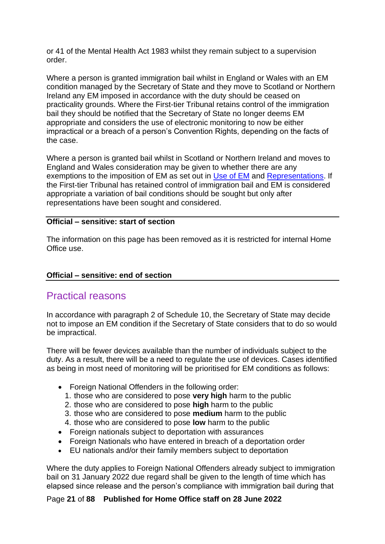or 41 of the Mental Health Act 1983 whilst they remain subject to a supervision order.

Where a person is granted immigration bail whilst in England or Wales with an EM condition managed by the Secretary of State and they move to Scotland or Northern Ireland any EM imposed in accordance with the duty should be ceased on practicality grounds. Where the First-tier Tribunal retains control of the immigration bail they should be notified that the Secretary of State no longer deems EM appropriate and considers the use of electronic monitoring to now be either impractical or a breach of a person's Convention Rights, depending on the facts of the case.

Where a person is granted bail whilst in Scotland or Northern Ireland and moves to England and Wales consideration may be given to whether there are any exemptions to the imposition of EM as set out in [Use of EM](#page-24-3) and [Representations.](#page-22-0) If the First-tier Tribunal has retained control of immigration bail and EM is considered appropriate a variation of bail conditions should be sought but only after representations have been sought and considered.

#### **Official – sensitive: start of section**

The information on this page has been removed as it is restricted for internal Home Office use.

#### **Official – sensitive: end of section**

#### <span id="page-20-0"></span>Practical reasons

In accordance with paragraph 2 of Schedule 10, the Secretary of State may decide not to impose an EM condition if the Secretary of State considers that to do so would be impractical.

There will be fewer devices available than the number of individuals subject to the duty. As a result, there will be a need to regulate the use of devices. Cases identified as being in most need of monitoring will be prioritised for EM conditions as follows:

- Foreign National Offenders in the following order:
	- 1. those who are considered to pose **very high** harm to the public
	- 2. those who are considered to pose **high** harm to the public
	- 3. those who are considered to pose **medium** harm to the public
	- 4. those who are considered to pose **low** harm to the public
- Foreign nationals subject to deportation with assurances
- Foreign Nationals who have entered in breach of a deportation order
- EU nationals and/or their family members subject to deportation

Where the duty applies to Foreign National Offenders already subject to immigration bail on 31 January 2022 due regard shall be given to the length of time which has elapsed since release and the person's compliance with immigration bail during that

#### Page **21** of **88 Published for Home Office staff on 28 June 2022**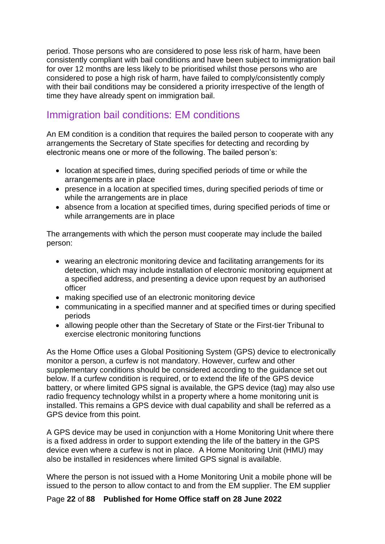period. Those persons who are considered to pose less risk of harm, have been consistently compliant with bail conditions and have been subject to immigration bail for over 12 months are less likely to be prioritised whilst those persons who are considered to pose a high risk of harm, have failed to comply/consistently comply with their bail conditions may be considered a priority irrespective of the length of time they have already spent on immigration bail.

## <span id="page-21-0"></span>Immigration bail conditions: EM conditions

An EM condition is a condition that requires the bailed person to cooperate with any arrangements the Secretary of State specifies for detecting and recording by electronic means one or more of the following. The bailed person's:

- location at specified times, during specified periods of time or while the arrangements are in place
- presence in a location at specified times, during specified periods of time or while the arrangements are in place
- absence from a location at specified times, during specified periods of time or while arrangements are in place

The arrangements with which the person must cooperate may include the bailed person:

- wearing an electronic monitoring device and facilitating arrangements for its detection, which may include installation of electronic monitoring equipment at a specified address, and presenting a device upon request by an authorised officer
- making specified use of an electronic monitoring device
- communicating in a specified manner and at specified times or during specified periods
- allowing people other than the Secretary of State or the First-tier Tribunal to exercise electronic monitoring functions

As the Home Office uses a Global Positioning System (GPS) device to electronically monitor a person, a curfew is not mandatory. However, curfew and other supplementary conditions should be considered according to the guidance set out below. If a curfew condition is required, or to extend the life of the GPS device battery, or where limited GPS signal is available, the GPS device (tag) may also use radio frequency technology whilst in a property where a home monitoring unit is installed. This remains a GPS device with dual capability and shall be referred as a GPS device from this point.

A GPS device may be used in conjunction with a Home Monitoring Unit where there is a fixed address in order to support extending the life of the battery in the GPS device even where a curfew is not in place. A Home Monitoring Unit (HMU) may also be installed in residences where limited GPS signal is available.

Where the person is not issued with a Home Monitoring Unit a mobile phone will be issued to the person to allow contact to and from the EM supplier. The EM supplier

#### Page **22** of **88 Published for Home Office staff on 28 June 2022**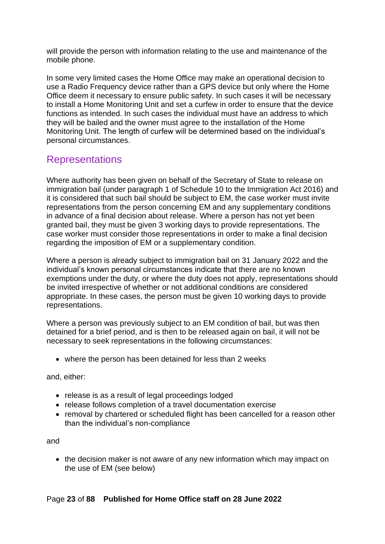will provide the person with information relating to the use and maintenance of the mobile phone.

In some very limited cases the Home Office may make an operational decision to use a Radio Frequency device rather than a GPS device but only where the Home Office deem it necessary to ensure public safety. In such cases it will be necessary to install a Home Monitoring Unit and set a curfew in order to ensure that the device functions as intended. In such cases the individual must have an address to which they will be bailed and the owner must agree to the installation of the Home Monitoring Unit. The length of curfew will be determined based on the individual's personal circumstances.

## <span id="page-22-0"></span>Representations

Where authority has been given on behalf of the Secretary of State to release on immigration bail (under paragraph 1 of Schedule 10 to the Immigration Act 2016) and it is considered that such bail should be subject to EM, the case worker must invite representations from the person concerning EM and any supplementary conditions in advance of a final decision about release. Where a person has not yet been granted bail, they must be given 3 working days to provide representations. The case worker must consider those representations in order to make a final decision regarding the imposition of EM or a supplementary condition.

Where a person is already subject to immigration bail on 31 January 2022 and the individual's known personal circumstances indicate that there are no known exemptions under the duty, or where the duty does not apply, representations should be invited irrespective of whether or not additional conditions are considered appropriate. In these cases, the person must be given 10 working days to provide representations.

Where a person was previously subject to an EM condition of bail, but was then detained for a brief period, and is then to be released again on bail, it will not be necessary to seek representations in the following circumstances:

• where the person has been detained for less than 2 weeks

and, either:

- release is as a result of legal proceedings lodged
- release follows completion of a travel documentation exercise
- removal by chartered or scheduled flight has been cancelled for a reason other than the individual's non-compliance

and

• the decision maker is not aware of any new information which may impact on the use of EM (see below)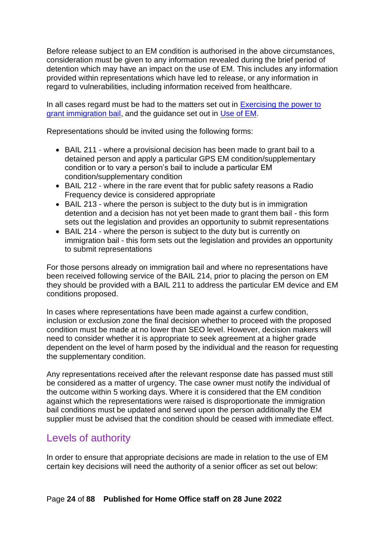Before release subject to an EM condition is authorised in the above circumstances, consideration must be given to any information revealed during the brief period of detention which may have an impact on the use of EM. This includes any information provided within representations which have led to release, or any information in regard to vulnerabilities, including information received from healthcare.

In all cases regard must be had to the matters set out in [Exercising the power to](#page-39-1)  [grant immigration bail,](#page-39-1) and the guidance set out in [Use of EM.](#page-24-3)

Representations should be invited using the following forms:

- BAIL 211 where a provisional decision has been made to grant bail to a detained person and apply a particular GPS EM condition/supplementary condition or to vary a person's bail to include a particular EM condition/supplementary condition
- BAIL 212 where in the rare event that for public safety reasons a Radio Frequency device is considered appropriate
- BAIL 213 where the person is subject to the duty but is in immigration detention and a decision has not yet been made to grant them bail - this form sets out the legislation and provides an opportunity to submit representations
- BAIL 214 where the person is subject to the duty but is currently on immigration bail - this form sets out the legislation and provides an opportunity to submit representations

For those persons already on immigration bail and where no representations have been received following service of the BAIL 214, prior to placing the person on EM they should be provided with a BAIL 211 to address the particular EM device and EM conditions proposed.

In cases where representations have been made against a curfew condition, inclusion or exclusion zone the final decision whether to proceed with the proposed condition must be made at no lower than SEO level. However, decision makers will need to consider whether it is appropriate to seek agreement at a higher grade dependent on the level of harm posed by the individual and the reason for requesting the supplementary condition.

Any representations received after the relevant response date has passed must still be considered as a matter of urgency. The case owner must notify the individual of the outcome within 5 working days. Where it is considered that the EM condition against which the representations were raised is disproportionate the immigration bail conditions must be updated and served upon the person additionally the EM supplier must be advised that the condition should be ceased with immediate effect.

# <span id="page-23-0"></span>Levels of authority

In order to ensure that appropriate decisions are made in relation to the use of EM certain key decisions will need the authority of a senior officer as set out below: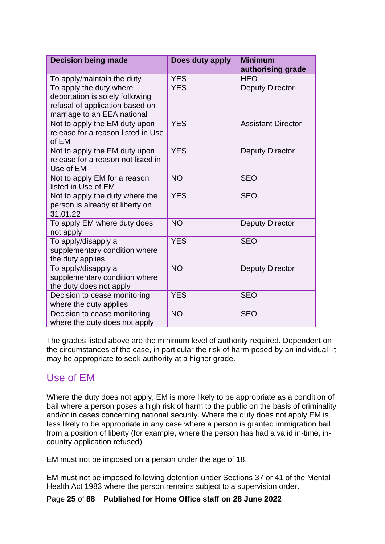<span id="page-24-2"></span><span id="page-24-1"></span><span id="page-24-0"></span>

| <b>Decision being made</b>                                                                                                   | Does duty apply | <b>Minimum</b><br>authorising grade |
|------------------------------------------------------------------------------------------------------------------------------|-----------------|-------------------------------------|
| To apply/maintain the duty                                                                                                   | <b>YES</b>      | <b>HEO</b>                          |
| To apply the duty where<br>deportation is solely following<br>refusal of application based on<br>marriage to an EEA national | <b>YES</b>      | <b>Deputy Director</b>              |
| Not to apply the EM duty upon<br>release for a reason listed in Use<br>of EM                                                 | <b>YES</b>      | <b>Assistant Director</b>           |
| Not to apply the EM duty upon<br>release for a reason not listed in<br>Use of EM                                             | <b>YES</b>      | <b>Deputy Director</b>              |
| Not to apply EM for a reason<br>listed in Use of EM                                                                          | <b>NO</b>       | <b>SEO</b>                          |
| Not to apply the duty where the<br>person is already at liberty on<br>31.01.22                                               | <b>YES</b>      | <b>SEO</b>                          |
| To apply EM where duty does<br>not apply                                                                                     | <b>NO</b>       | <b>Deputy Director</b>              |
| To apply/disapply a<br>supplementary condition where<br>the duty applies                                                     | <b>YES</b>      | <b>SEO</b>                          |
| To apply/disapply a<br>supplementary condition where<br>the duty does not apply                                              | <b>NO</b>       | <b>Deputy Director</b>              |
| Decision to cease monitoring<br>where the duty applies                                                                       | <b>YES</b>      | <b>SEO</b>                          |
| Decision to cease monitoring<br>where the duty does not apply                                                                | <b>NO</b>       | <b>SEO</b>                          |

The grades listed above are the minimum level of authority required. Dependent on the circumstances of the case, in particular the risk of harm posed by an individual, it may be appropriate to seek authority at a higher grade.

# <span id="page-24-3"></span>Use of EM

Where the duty does not apply, EM is more likely to be appropriate as a condition of bail where a person poses a high risk of harm to the public on the basis of criminality and/or in cases concerning national security. Where the duty does not apply EM is less likely to be appropriate in any case where a person is granted immigration bail from a position of liberty (for example, where the person has had a valid in-time, incountry application refused)

EM must not be imposed on a person under the age of 18.

EM must not be imposed following detention under Sections 37 or 41 of the Mental Health Act 1983 where the person remains subject to a supervision order.

Page **25** of **88 Published for Home Office staff on 28 June 2022**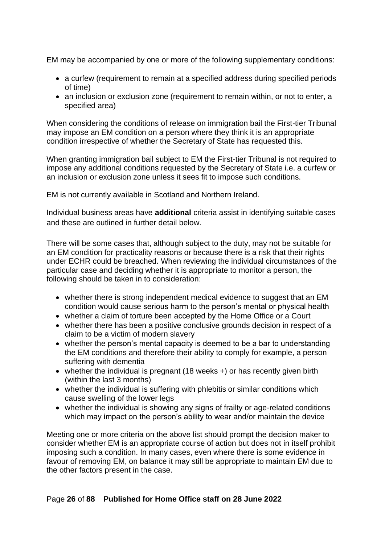EM may be accompanied by one or more of the following supplementary conditions:

- a curfew (requirement to remain at a specified address during specified periods of time)
- an inclusion or exclusion zone (requirement to remain within, or not to enter, a specified area)

When considering the conditions of release on immigration bail the First-tier Tribunal may impose an EM condition on a person where they think it is an appropriate condition irrespective of whether the Secretary of State has requested this.

When granting immigration bail subject to EM the First-tier Tribunal is not required to impose any additional conditions requested by the Secretary of State i.e. a curfew or an inclusion or exclusion zone unless it sees fit to impose such conditions.

EM is not currently available in Scotland and Northern Ireland.

Individual business areas have **additional** criteria assist in identifying suitable cases and these are outlined in further detail below.

There will be some cases that, although subject to the duty, may not be suitable for an EM condition for practicality reasons or because there is a risk that their rights under ECHR could be breached. When reviewing the individual circumstances of the particular case and deciding whether it is appropriate to monitor a person, the following should be taken in to consideration:

- whether there is strong independent medical evidence to suggest that an EM condition would cause serious harm to the person's mental or physical health
- whether a claim of torture been accepted by the Home Office or a Court
- whether there has been a positive conclusive grounds decision in respect of a claim to be a victim of modern slavery
- whether the person's mental capacity is deemed to be a bar to understanding the EM conditions and therefore their ability to comply for example, a person suffering with dementia
- whether the individual is pregnant (18 weeks +) or has recently given birth (within the last 3 months)
- whether the individual is suffering with phlebitis or similar conditions which cause swelling of the lower legs
- whether the individual is showing any signs of frailty or age-related conditions which may impact on the person's ability to wear and/or maintain the device

Meeting one or more criteria on the above list should prompt the decision maker to consider whether EM is an appropriate course of action but does not in itself prohibit imposing such a condition. In many cases, even where there is some evidence in favour of removing EM, on balance it may still be appropriate to maintain EM due to the other factors present in the case.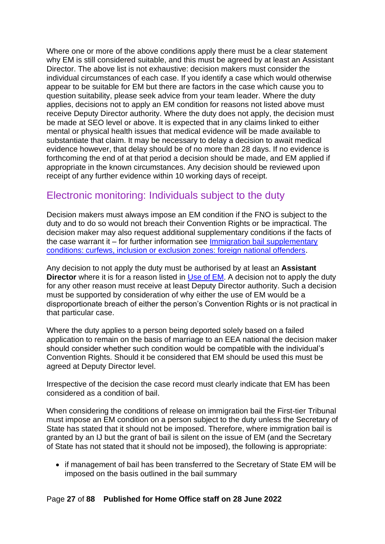Where one or more of the above conditions apply there must be a clear statement why EM is still considered suitable, and this must be agreed by at least an Assistant Director. The above list is not exhaustive: decision makers must consider the individual circumstances of each case. If you identify a case which would otherwise appear to be suitable for EM but there are factors in the case which cause you to question suitability, please seek advice from your team leader. Where the duty applies, decisions not to apply an EM condition for reasons not listed above must receive Deputy Director authority. Where the duty does not apply, the decision must be made at SEO level or above. It is expected that in any claims linked to either mental or physical health issues that medical evidence will be made available to substantiate that claim. It may be necessary to delay a decision to await medical evidence however, that delay should be of no more than 28 days. If no evidence is forthcoming the end of at that period a decision should be made, and EM applied if appropriate in the known circumstances. Any decision should be reviewed upon receipt of any further evidence within 10 working days of receipt.

### <span id="page-26-0"></span>Electronic monitoring: Individuals subject to the duty

Decision makers must always impose an EM condition if the FNO is subject to the duty and to do so would not breach their Convention Rights or be impractical. The decision maker may also request additional supplementary conditions if the facts of the case warrant it – for further information see [Immigration bail supplementary](#page-30-1)  [conditions: curfews, inclusion or exclusion zones: foreign national offenders.](#page-30-1)

Any decision to not apply the duty must be authorised by at least an **Assistant Director** where it is for a reason listed in [Use of EM.](#page-24-3) A decision not to apply the duty for any other reason must receive at least Deputy Director authority. Such a decision must be supported by consideration of why either the use of EM would be a disproportionate breach of either the person's Convention Rights or is not practical in that particular case.

Where the duty applies to a person being deported solely based on a failed application to remain on the basis of marriage to an EEA national the decision maker should consider whether such condition would be compatible with the individual's Convention Rights. Should it be considered that EM should be used this must be agreed at Deputy Director level.

Irrespective of the decision the case record must clearly indicate that EM has been considered as a condition of bail.

When considering the conditions of release on immigration bail the First-tier Tribunal must impose an EM condition on a person subject to the duty unless the Secretary of State has stated that it should not be imposed. Therefore, where immigration bail is granted by an IJ but the grant of bail is silent on the issue of EM (and the Secretary of State has not stated that it should not be imposed), the following is appropriate:

• if management of bail has been transferred to the Secretary of State EM will be imposed on the basis outlined in the bail summary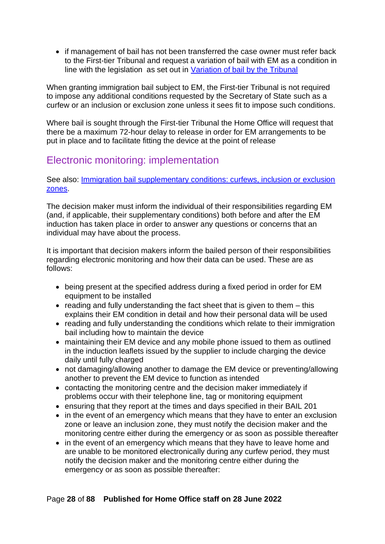• if management of bail has not been transferred the case owner must refer back to the First-tier Tribunal and request a variation of bail with EM as a condition in line with the legislation as set out in [Variation of bail by the Tribunal](#page-62-1)

When granting immigration bail subject to EM, the First-tier Tribunal is not required to impose any additional conditions requested by the Secretary of State such as a curfew or an inclusion or exclusion zone unless it sees fit to impose such conditions.

Where bail is sought through the First-tier Tribunal the Home Office will request that there be a maximum 72-hour delay to release in order for EM arrangements to be put in place and to facilitate fitting the device at the point of release

## <span id="page-27-0"></span>Electronic monitoring: implementation

See also: [Immigration bail supplementary conditions: curfews, inclusion or exclusion](#page-30-1)  [zones.](#page-30-1)

The decision maker must inform the individual of their responsibilities regarding EM (and, if applicable, their supplementary conditions) both before and after the EM induction has taken place in order to answer any questions or concerns that an individual may have about the process.

It is important that decision makers inform the bailed person of their responsibilities regarding electronic monitoring and how their data can be used. These are as follows:

- being present at the specified address during a fixed period in order for EM equipment to be installed
- reading and fully understanding the fact sheet that is given to them this explains their EM condition in detail and how their personal data will be used
- reading and fully understanding the conditions which relate to their immigration bail including how to maintain the device
- maintaining their EM device and any mobile phone issued to them as outlined in the induction leaflets issued by the supplier to include charging the device daily until fully charged
- not damaging/allowing another to damage the EM device or preventing/allowing another to prevent the EM device to function as intended
- contacting the monitoring centre and the decision maker immediately if problems occur with their telephone line, tag or monitoring equipment
- ensuring that they report at the times and days specified in their BAIL 201
- in the event of an emergency which means that they have to enter an exclusion zone or leave an inclusion zone, they must notify the decision maker and the monitoring centre either during the emergency or as soon as possible thereafter
- in the event of an emergency which means that they have to leave home and are unable to be monitored electronically during any curfew period, they must notify the decision maker and the monitoring centre either during the emergency or as soon as possible thereafter: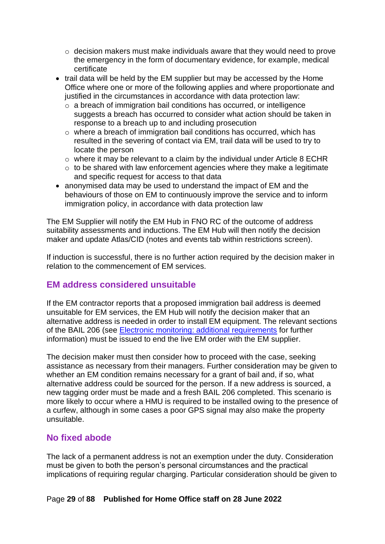- $\circ$  decision makers must make individuals aware that they would need to prove the emergency in the form of documentary evidence, for example, medical certificate
- trail data will be held by the EM supplier but may be accessed by the Home Office where one or more of the following applies and where proportionate and justified in the circumstances in accordance with data protection law:
	- $\circ$  a breach of immigration bail conditions has occurred, or intelligence suggests a breach has occurred to consider what action should be taken in response to a breach up to and including prosecution
	- $\circ$  where a breach of immigration bail conditions has occurred, which has resulted in the severing of contact via EM, trail data will be used to try to locate the person
	- o where it may be relevant to a claim by the individual under Article 8 ECHR
	- $\circ$  to be shared with law enforcement agencies where they make a legitimate and specific request for access to that data
- anonymised data may be used to understand the impact of EM and the behaviours of those on EM to continuously improve the service and to inform immigration policy, in accordance with data protection law

The EM Supplier will notify the EM Hub in FNO RC of the outcome of address suitability assessments and inductions. The EM Hub will then notify the decision maker and update Atlas/CID (notes and events tab within restrictions screen).

If induction is successful, there is no further action required by the decision maker in relation to the commencement of EM services.

#### <span id="page-28-0"></span>**EM address considered unsuitable**

If the EM contractor reports that a proposed immigration bail address is deemed unsuitable for EM services, the EM Hub will notify the decision maker that an alternative address is needed in order to install EM equipment. The relevant sections of the BAIL 206 (see [Electronic monitoring: additional requirements](#page-32-2) for further information) must be issued to end the live EM order with the EM supplier.

The decision maker must then consider how to proceed with the case, seeking assistance as necessary from their managers. Further consideration may be given to whether an EM condition remains necessary for a grant of bail and, if so, what alternative address could be sourced for the person. If a new address is sourced, a new tagging order must be made and a fresh BAIL 206 completed. This scenario is more likely to occur where a HMU is required to be installed owing to the presence of a curfew, although in some cases a poor GPS signal may also make the property unsuitable.

#### <span id="page-28-1"></span>**No fixed abode**

The lack of a permanent address is not an exemption under the duty. Consideration must be given to both the person's personal circumstances and the practical implications of requiring regular charging. Particular consideration should be given to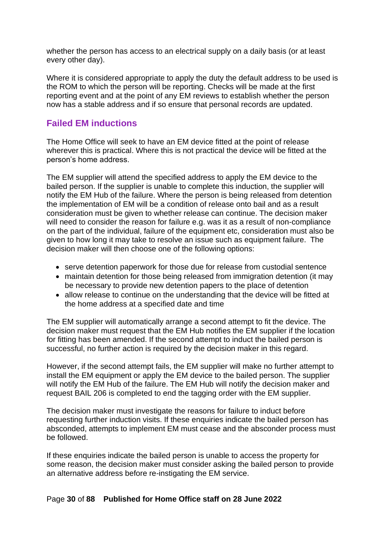whether the person has access to an electrical supply on a daily basis (or at least every other day).

Where it is considered appropriate to apply the duty the default address to be used is the ROM to which the person will be reporting. Checks will be made at the first reporting event and at the point of any EM reviews to establish whether the person now has a stable address and if so ensure that personal records are updated.

#### <span id="page-29-0"></span>**Failed EM inductions**

The Home Office will seek to have an EM device fitted at the point of release wherever this is practical. Where this is not practical the device will be fitted at the person's home address.

The EM supplier will attend the specified address to apply the EM device to the bailed person. If the supplier is unable to complete this induction, the supplier will notify the EM Hub of the failure. Where the person is being released from detention the implementation of EM will be a condition of release onto bail and as a result consideration must be given to whether release can continue. The decision maker will need to consider the reason for failure e.g. was it as a result of non-compliance on the part of the individual, failure of the equipment etc, consideration must also be given to how long it may take to resolve an issue such as equipment failure. The decision maker will then choose one of the following options:

- serve detention paperwork for those due for release from custodial sentence
- maintain detention for those being released from immigration detention (it may be necessary to provide new detention papers to the place of detention
- allow release to continue on the understanding that the device will be fitted at the home address at a specified date and time

The EM supplier will automatically arrange a second attempt to fit the device. The decision maker must request that the EM Hub notifies the EM supplier if the location for fitting has been amended. If the second attempt to induct the bailed person is successful, no further action is required by the decision maker in this regard.

However, if the second attempt fails, the EM supplier will make no further attempt to install the EM equipment or apply the EM device to the bailed person. The supplier will notify the EM Hub of the failure. The EM Hub will notify the decision maker and request BAIL 206 is completed to end the tagging order with the EM supplier.

The decision maker must investigate the reasons for failure to induct before requesting further induction visits. If these enquiries indicate the bailed person has absconded, attempts to implement EM must cease and the absconder process must be followed.

If these enquiries indicate the bailed person is unable to access the property for some reason, the decision maker must consider asking the bailed person to provide an alternative address before re-instigating the EM service.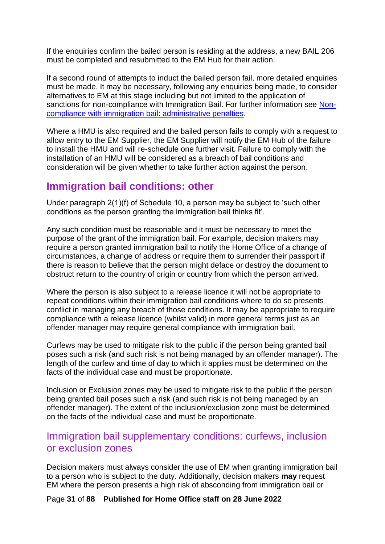If the enquiries confirm the bailed person is residing at the address, a new BAIL 206 must be completed and resubmitted to the EM Hub for their action.

If a second round of attempts to induct the bailed person fail, more detailed enquiries must be made. It may be necessary, following any enquiries being made, to consider alternatives to EM at this stage including but not limited to the application of sanctions for non-compliance with Immigration Bail. For further information see [Non](#page-74-1)[compliance with immigration bail: administrative penalties.](#page-74-1)

Where a HMU is also required and the bailed person fails to comply with a request to allow entry to the EM Supplier, the EM Supplier will notify the EM Hub of the failure to install the HMU and will re-schedule one further visit. Failure to comply with the installation of an HMU will be considered as a breach of bail conditions and consideration will be given whether to take further action against the person.

### <span id="page-30-0"></span>**Immigration bail conditions: other**

Under paragraph 2(1)(f) of Schedule 10, a person may be subject to 'such other conditions as the person granting the immigration bail thinks fit'.

Any such condition must be reasonable and it must be necessary to meet the purpose of the grant of the immigration bail. For example, decision makers may require a person granted immigration bail to notify the Home Office of a change of circumstances, a change of address or require them to surrender their passport if there is reason to believe that the person might deface or destroy the document to obstruct return to the country of origin or country from which the person arrived.

Where the person is also subject to a release licence it will not be appropriate to repeat conditions within their immigration bail conditions where to do so presents conflict in managing any breach of those conditions. It may be appropriate to require compliance with a release licence (whilst valid) in more general terms just as an offender manager may require general compliance with immigration bail.

Curfews may be used to mitigate risk to the public if the person being granted bail poses such a risk (and such risk is not being managed by an offender manager). The length of the curfew and time of day to which it applies must be determined on the facts of the individual case and must be proportionate.

Inclusion or Exclusion zones may be used to mitigate risk to the public if the person being granted bail poses such a risk (and such risk is not being managed by an offender manager). The extent of the inclusion/exclusion zone must be determined on the facts of the individual case and must be proportionate.

### <span id="page-30-1"></span>Immigration bail supplementary conditions: curfews, inclusion or exclusion zones

Decision makers must always consider the use of EM when granting immigration bail to a person who is subject to the duty. Additionally, decision makers **may** request EM where the person presents a high risk of absconding from immigration bail or

Page **31** of **88 Published for Home Office staff on 28 June 2022**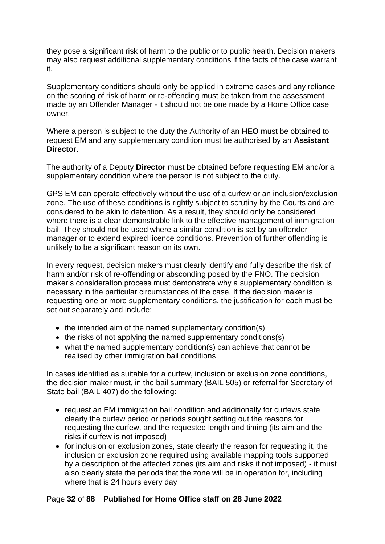they pose a significant risk of harm to the public or to public health. Decision makers may also request additional supplementary conditions if the facts of the case warrant it.

Supplementary conditions should only be applied in extreme cases and any reliance on the scoring of risk of harm or re-offending must be taken from the assessment made by an Offender Manager - it should not be one made by a Home Office case owner.

Where a person is subject to the duty the Authority of an **HEO** must be obtained to request EM and any supplementary condition must be authorised by an **Assistant Director**.

The authority of a Deputy **Director** must be obtained before requesting EM and/or a supplementary condition where the person is not subject to the duty.

GPS EM can operate effectively without the use of a curfew or an inclusion/exclusion zone. The use of these conditions is rightly subject to scrutiny by the Courts and are considered to be akin to detention. As a result, they should only be considered where there is a clear demonstrable link to the effective management of immigration bail. They should not be used where a similar condition is set by an offender manager or to extend expired licence conditions. Prevention of further offending is unlikely to be a significant reason on its own.

In every request, decision makers must clearly identify and fully describe the risk of harm and/or risk of re-offending or absconding posed by the FNO. The decision maker's consideration process must demonstrate why a supplementary condition is necessary in the particular circumstances of the case. If the decision maker is requesting one or more supplementary conditions, the justification for each must be set out separately and include:

- the intended aim of the named supplementary condition(s)
- the risks of not applying the named supplementary conditions(s)
- what the named supplementary condition(s) can achieve that cannot be realised by other immigration bail conditions

In cases identified as suitable for a curfew, inclusion or exclusion zone conditions, the decision maker must, in the bail summary (BAIL 505) or referral for Secretary of State bail (BAIL 407) do the following:

- request an EM immigration bail condition and additionally for curfews state clearly the curfew period or periods sought setting out the reasons for requesting the curfew, and the requested length and timing (its aim and the risks if curfew is not imposed)
- for inclusion or exclusion zones, state clearly the reason for requesting it, the inclusion or exclusion zone required using available mapping tools supported by a description of the affected zones (its aim and risks if not imposed) - it must also clearly state the periods that the zone will be in operation for, including where that is 24 hours every day

#### Page **32** of **88 Published for Home Office staff on 28 June 2022**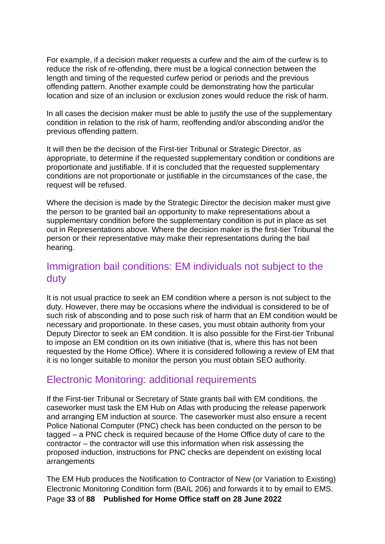For example, if a decision maker requests a curfew and the aim of the curfew is to reduce the risk of re-offending, there must be a logical connection between the length and timing of the requested curfew period or periods and the previous offending pattern. Another example could be demonstrating how the particular location and size of an inclusion or exclusion zones would reduce the risk of harm.

In all cases the decision maker must be able to justify the use of the supplementary condition in relation to the risk of harm, reoffending and/or absconding and/or the previous offending pattern.

It will then be the decision of the First-tier Tribunal or Strategic Director, as appropriate, to determine if the requested supplementary condition or conditions are proportionate and justifiable. If it is concluded that the requested supplementary conditions are not proportionate or justifiable in the circumstances of the case, the request will be refused.

Where the decision is made by the Strategic Director the decision maker must give the person to be granted bail an opportunity to make representations about a supplementary condition before the supplementary condition is put in place as set out in Representations above. Where the decision maker is the first-tier Tribunal the person or their representative may make their representations during the bail hearing.

## <span id="page-32-0"></span>Immigration bail conditions: EM individuals not subject to the duty

It is not usual practice to seek an EM condition where a person is not subject to the duty. However, there may be occasions where the individual is considered to be of such risk of absconding and to pose such risk of harm that an EM condition would be necessary and proportionate. In these cases, you must obtain authority from your Deputy Director to seek an EM condition. It is also possible for the First-tier Tribunal to impose an EM condition on its own initiative (that is, where this has not been requested by the Home Office). Where it is considered following a review of EM that it is no longer suitable to monitor the person you must obtain SEO authority.

## <span id="page-32-1"></span>Electronic Monitoring: additional requirements

<span id="page-32-2"></span>If the First-tier Tribunal or Secretary of State grants bail with EM conditions, the caseworker must task the EM Hub on Atlas with producing the release paperwork and arranging EM induction at source. The caseworker must also ensure a recent Police National Computer (PNC) check has been conducted on the person to be tagged – a PNC check is required because of the Home Office duty of care to the contractor – the contractor will use this information when risk assessing the proposed induction, instructions for PNC checks are dependent on existing local arrangements

Page **33** of **88 Published for Home Office staff on 28 June 2022** The EM Hub produces the Notification to Contractor of New (or Variation to Existing) Electronic Monitoring Condition form (BAIL 206) and forwards it to by email to EMS.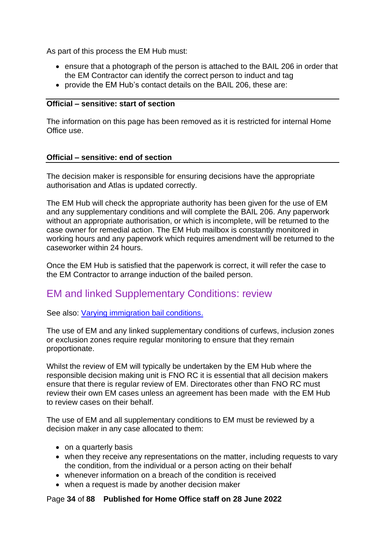As part of this process the EM Hub must:

- ensure that a photograph of the person is attached to the BAIL 206 in order that the EM Contractor can identify the correct person to induct and tag
- provide the EM Hub's contact details on the BAIL 206, these are:

#### **Official – sensitive: start of section**

The information on this page has been removed as it is restricted for internal Home Office use.

#### **Official – sensitive: end of section**

The decision maker is responsible for ensuring decisions have the appropriate authorisation and Atlas is updated correctly.

The EM Hub will check the appropriate authority has been given for the use of EM and any supplementary conditions and will complete the BAIL 206. Any paperwork without an appropriate authorisation, or which is incomplete, will be returned to the case owner for remedial action. The EM Hub mailbox is constantly monitored in working hours and any paperwork which requires amendment will be returned to the caseworker within 24 hours.

Once the EM Hub is satisfied that the paperwork is correct, it will refer the case to the EM Contractor to arrange induction of the bailed person.

### <span id="page-33-0"></span>EM and linked Supplementary Conditions: review

#### See also: [Varying immigration bail conditions.](#page-61-0)

The use of EM and any linked supplementary conditions of curfews, inclusion zones or exclusion zones require regular monitoring to ensure that they remain proportionate.

Whilst the review of EM will typically be undertaken by the EM Hub where the responsible decision making unit is FNO RC it is essential that all decision makers ensure that there is regular review of EM. Directorates other than FNO RC must review their own EM cases unless an agreement has been made with the EM Hub to review cases on their behalf.

The use of EM and all supplementary conditions to EM must be reviewed by a decision maker in any case allocated to them:

- on a quarterly basis
- when they receive any representations on the matter, including requests to vary the condition, from the individual or a person acting on their behalf
- whenever information on a breach of the condition is received
- when a request is made by another decision maker

#### Page **34** of **88 Published for Home Office staff on 28 June 2022**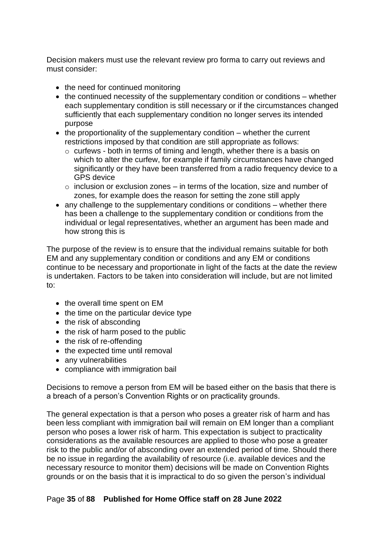Decision makers must use the relevant review pro forma to carry out reviews and must consider:

- the need for continued monitoring
- the continued necessity of the supplementary condition or conditions whether each supplementary condition is still necessary or if the circumstances changed sufficiently that each supplementary condition no longer serves its intended purpose
- the proportionality of the supplementary condition whether the current restrictions imposed by that condition are still appropriate as follows:
	- o curfews both in terms of timing and length, whether there is a basis on which to alter the curfew, for example if family circumstances have changed significantly or they have been transferred from a radio frequency device to a GPS device
	- $\circ$  inclusion or exclusion zones in terms of the location, size and number of zones, for example does the reason for setting the zone still apply
- any challenge to the supplementary conditions or conditions whether there has been a challenge to the supplementary condition or conditions from the individual or legal representatives, whether an argument has been made and how strong this is

The purpose of the review is to ensure that the individual remains suitable for both EM and any supplementary condition or conditions and any EM or conditions continue to be necessary and proportionate in light of the facts at the date the review is undertaken. Factors to be taken into consideration will include, but are not limited to:

- the overall time spent on EM
- the time on the particular device type
- the risk of absconding
- the risk of harm posed to the public
- the risk of re-offending
- the expected time until removal
- any vulnerabilities
- compliance with immigration bail

Decisions to remove a person from EM will be based either on the basis that there is a breach of a person's Convention Rights or on practicality grounds.

The general expectation is that a person who poses a greater risk of harm and has been less compliant with immigration bail will remain on EM longer than a compliant person who poses a lower risk of harm. This expectation is subject to practicality considerations as the available resources are applied to those who pose a greater risk to the public and/or of absconding over an extended period of time. Should there be no issue in regarding the availability of resource (i.e. available devices and the necessary resource to monitor them) decisions will be made on Convention Rights grounds or on the basis that it is impractical to do so given the person's individual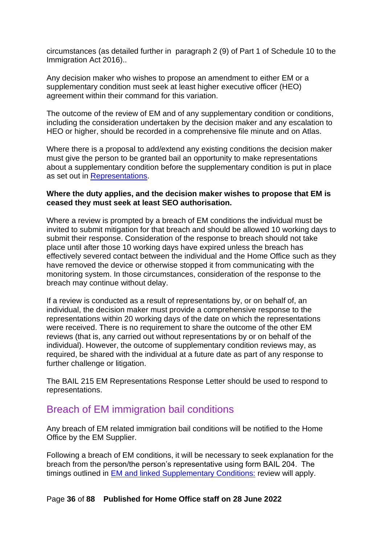circumstances (as detailed further in paragraph 2 (9) of Part 1 of Schedule 10 to the Immigration Act 2016)..

Any decision maker who wishes to propose an amendment to either EM or a supplementary condition must seek at least higher executive officer (HEO) agreement within their command for this variation.

The outcome of the review of EM and of any supplementary condition or conditions, including the consideration undertaken by the decision maker and any escalation to HEO or higher, should be recorded in a comprehensive file minute and on Atlas.

Where there is a proposal to add/extend any existing conditions the decision maker must give the person to be granted bail an opportunity to make representations about a supplementary condition before the supplementary condition is put in place as set out in [Representations.](#page-22-0)

#### **Where the duty applies, and the decision maker wishes to propose that EM is ceased they must seek at least SEO authorisation.**

Where a review is prompted by a breach of EM conditions the individual must be invited to submit mitigation for that breach and should be allowed 10 working days to submit their response. Consideration of the response to breach should not take place until after those 10 working days have expired unless the breach has effectively severed contact between the individual and the Home Office such as they have removed the device or otherwise stopped it from communicating with the monitoring system. In those circumstances, consideration of the response to the breach may continue without delay.

If a review is conducted as a result of representations by, or on behalf of, an individual, the decision maker must provide a comprehensive response to the representations within 20 working days of the date on which the representations were received. There is no requirement to share the outcome of the other EM reviews (that is, any carried out without representations by or on behalf of the individual). However, the outcome of supplementary condition reviews may, as required, be shared with the individual at a future date as part of any response to further challenge or litigation.

The BAIL 215 EM Representations Response Letter should be used to respond to representations.

#### <span id="page-35-0"></span>Breach of EM immigration bail conditions

Any breach of EM related immigration bail conditions will be notified to the Home Office by the EM Supplier.

Following a breach of EM conditions, it will be necessary to seek explanation for the breach from the person/the person's representative using form BAIL 204. The timings outlined in [EM and linked Supplementary Conditions:](#page-33-0) review will apply.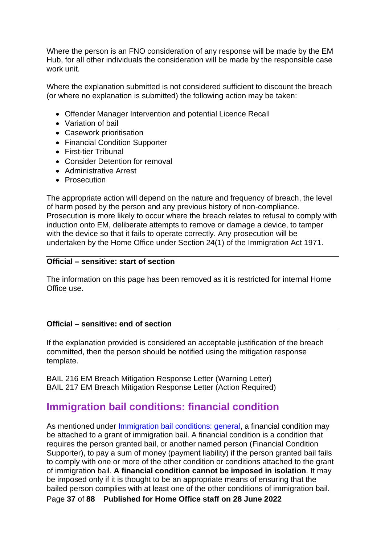Where the person is an FNO consideration of any response will be made by the EM Hub, for all other individuals the consideration will be made by the responsible case work unit.

Where the explanation submitted is not considered sufficient to discount the breach (or where no explanation is submitted) the following action may be taken:

- Offender Manager Intervention and potential Licence Recall
- Variation of bail
- Casework prioritisation
- Financial Condition Supporter
- First-tier Tribunal
- Consider Detention for removal
- Administrative Arrest
- Prosecution

The appropriate action will depend on the nature and frequency of breach, the level of harm posed by the person and any previous history of non-compliance. Prosecution is more likely to occur where the breach relates to refusal to comply with induction onto EM, deliberate attempts to remove or damage a device, to tamper with the device so that it fails to operate correctly. Any prosecution will be undertaken by the Home Office under Section 24(1) of the Immigration Act 1971.

#### **Official – sensitive: start of section**

The information on this page has been removed as it is restricted for internal Home Office use.

#### **Official – sensitive: end of section**

If the explanation provided is considered an acceptable justification of the breach committed, then the person should be notified using the mitigation response template.

BAIL 216 EM Breach Mitigation Response Letter (Warning Letter) BAIL 217 EM Breach Mitigation Response Letter (Action Required)

## **Immigration bail conditions: financial condition**

As mentioned under *Immigration bail conditions: general*, a financial condition may be attached to a grant of immigration bail. A financial condition is a condition that requires the person granted bail, or another named person (Financial Condition Supporter), to pay a sum of money (payment liability) if the person granted bail fails to comply with one or more of the other condition or conditions attached to the grant of immigration bail. **A financial condition cannot be imposed in isolation**. It may be imposed only if it is thought to be an appropriate means of ensuring that the bailed person complies with at least one of the other conditions of immigration bail.

Page **37** of **88 Published for Home Office staff on 28 June 2022**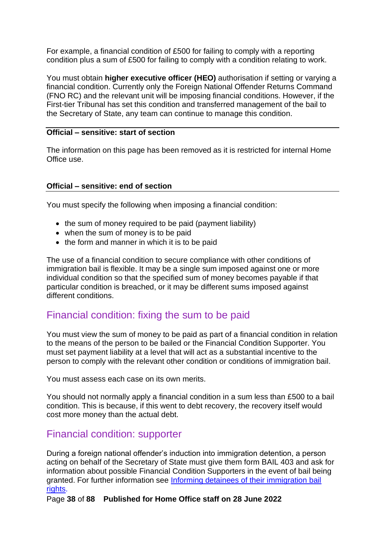For example, a financial condition of £500 for failing to comply with a reporting condition plus a sum of £500 for failing to comply with a condition relating to work.

You must obtain **higher executive officer (HEO)** authorisation if setting or varying a financial condition. Currently only the Foreign National Offender Returns Command (FNO RC) and the relevant unit will be imposing financial conditions. However, if the First-tier Tribunal has set this condition and transferred management of the bail to the Secretary of State, any team can continue to manage this condition.

#### **Official – sensitive: start of section**

The information on this page has been removed as it is restricted for internal Home Office use.

#### **Official – sensitive: end of section**

You must specify the following when imposing a financial condition:

- the sum of money required to be paid (payment liability)
- when the sum of money is to be paid
- the form and manner in which it is to be paid

The use of a financial condition to secure compliance with other conditions of immigration bail is flexible. It may be a single sum imposed against one or more individual condition so that the specified sum of money becomes payable if that particular condition is breached, or it may be different sums imposed against different conditions.

## Financial condition: fixing the sum to be paid

You must view the sum of money to be paid as part of a financial condition in relation to the means of the person to be bailed or the Financial Condition Supporter. You must set payment liability at a level that will act as a substantial incentive to the person to comply with the relevant other condition or conditions of immigration bail.

You must assess each case on its own merits.

You should not normally apply a financial condition in a sum less than £500 to a bail condition. This is because, if this went to debt recovery, the recovery itself would cost more money than the actual debt.

## <span id="page-37-0"></span>Financial condition: supporter

During a foreign national offender's induction into immigration detention, a person acting on behalf of the Secretary of State must give them form BAIL 403 and ask for information about possible Financial Condition Supporters in the event of bail being granted. For further information see [Informing detainees of their immigration bail](#page-43-0)  [rights.](#page-43-0)

Page **38** of **88 Published for Home Office staff on 28 June 2022**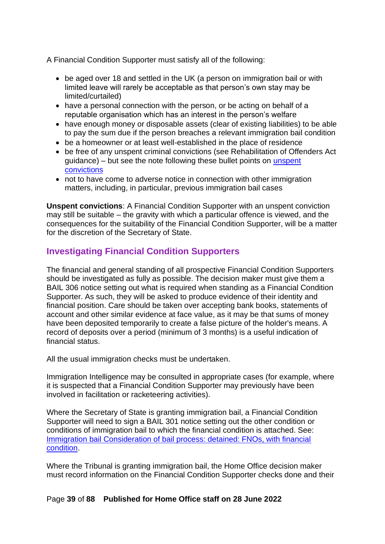A Financial Condition Supporter must satisfy all of the following:

- be aged over 18 and settled in the UK (a person on immigration bail or with limited leave will rarely be acceptable as that person's own stay may be limited/curtailed)
- have a personal connection with the person, or be acting on behalf of a reputable organisation which has an interest in the person's welfare
- have enough money or disposable assets (clear of existing liabilities) to be able to pay the sum due if the person breaches a relevant immigration bail condition
- be a homeowner or at least well-established in the place of residence
- be free of any unspent criminal convictions (see Rehabilitation of Offenders Act guidance) – but see the note following these bullet points on [unspent](#page-38-0)  [convictions](#page-38-0)
- not to have come to adverse notice in connection with other immigration matters, including, in particular, previous immigration bail cases

<span id="page-38-0"></span>**Unspent convictions**: A Financial Condition Supporter with an unspent conviction may still be suitable – the gravity with which a particular offence is viewed, and the consequences for the suitability of the Financial Condition Supporter, will be a matter for the discretion of the Secretary of State.

## <span id="page-38-1"></span>**Investigating Financial Condition Supporters**

The financial and general standing of all prospective Financial Condition Supporters should be investigated as fully as possible. The decision maker must give them a BAIL 306 notice setting out what is required when standing as a Financial Condition Supporter. As such, they will be asked to produce evidence of their identity and financial position. Care should be taken over accepting bank books, statements of account and other similar evidence at face value, as it may be that sums of money have been deposited temporarily to create a false picture of the holder's means. A record of deposits over a period (minimum of 3 months) is a useful indication of financial status.

All the usual immigration checks must be undertaken.

Immigration Intelligence may be consulted in appropriate cases (for example, where it is suspected that a Financial Condition Supporter may previously have been involved in facilitation or racketeering activities).

Where the Secretary of State is granting immigration bail, a Financial Condition Supporter will need to sign a BAIL 301 notice setting out the other condition or conditions of immigration bail to which the financial condition is attached. See: [Immigration bail Consideration of bail process: detained: FNOs, with financial](#page-47-0)  [condition.](#page-47-0)

Where the Tribunal is granting immigration bail, the Home Office decision maker must record information on the Financial Condition Supporter checks done and their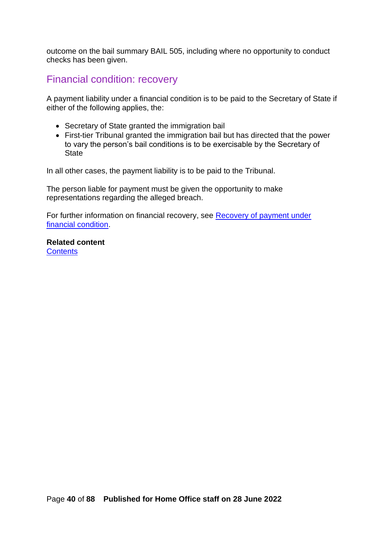outcome on the bail summary BAIL 505, including where no opportunity to conduct checks has been given.

## Financial condition: recovery

A payment liability under a financial condition is to be paid to the Secretary of State if either of the following applies, the:

- Secretary of State granted the immigration bail
- First-tier Tribunal granted the immigration bail but has directed that the power to vary the person's bail conditions is to be exercisable by the Secretary of **State**

In all other cases, the payment liability is to be paid to the Tribunal.

The person liable for payment must be given the opportunity to make representations regarding the alleged breach.

For further information on financial recovery, see Recovery of payment under [financial condition.](#page-75-0)

<span id="page-39-0"></span>**Related content [Contents](#page-1-0)**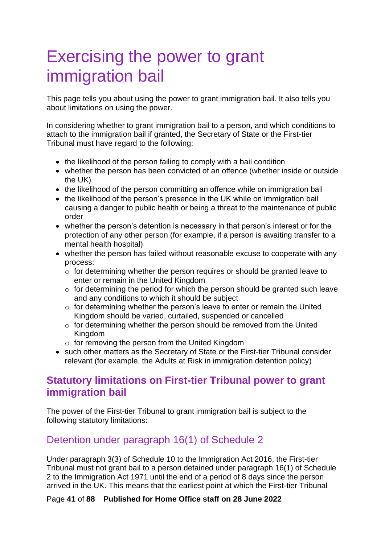# <span id="page-40-0"></span>Exercising the power to grant immigration bail

This page tells you about using the power to grant immigration bail. It also tells you about limitations on using the power.

In considering whether to grant immigration bail to a person, and which conditions to attach to the immigration bail if granted, the Secretary of State or the First-tier Tribunal must have regard to the following:

- the likelihood of the person failing to comply with a bail condition
- whether the person has been convicted of an offence (whether inside or outside the UK)
- the likelihood of the person committing an offence while on immigration bail
- the likelihood of the person's presence in the UK while on immigration bail causing a danger to public health or being a threat to the maintenance of public order
- whether the person's detention is necessary in that person's interest or for the protection of any other person (for example, if a person is awaiting transfer to a mental health hospital)
- whether the person has failed without reasonable excuse to cooperate with any process:
	- o for determining whether the person requires or should be granted leave to enter or remain in the United Kingdom
	- $\circ$  for determining the period for which the person should be granted such leave and any conditions to which it should be subject
	- $\circ$  for determining whether the person's leave to enter or remain the United Kingdom should be varied, curtailed, suspended or cancelled
	- $\circ$  for determining whether the person should be removed from the United Kingdom
	- $\circ$  for removing the person from the United Kingdom
- such other matters as the Secretary of State or the First-tier Tribunal consider relevant (for example, the Adults at Risk in immigration detention policy)

## **Statutory limitations on First-tier Tribunal power to grant immigration bail**

The power of the First-tier Tribunal to grant immigration bail is subject to the following statutory limitations:

# Detention under paragraph 16(1) of Schedule 2

Under paragraph 3(3) of Schedule 10 to the Immigration Act 2016, the First-tier Tribunal must not grant bail to a person detained under paragraph 16(1) of Schedule 2 to the Immigration Act 1971 until the end of a period of 8 days since the person arrived in the UK. This means that the earliest point at which the First-tier Tribunal

#### Page **41** of **88 Published for Home Office staff on 28 June 2022**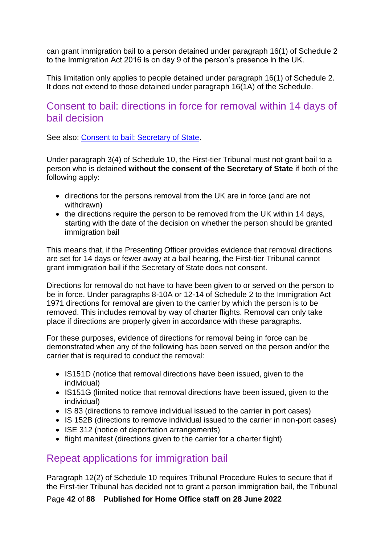can grant immigration bail to a person detained under paragraph 16(1) of Schedule 2 to the Immigration Act 2016 is on day 9 of the person's presence in the UK.

This limitation only applies to people detained under paragraph 16(1) of Schedule 2. It does not extend to those detained under paragraph 16(1A) of the Schedule.

## <span id="page-41-0"></span>Consent to bail: directions in force for removal within 14 days of bail decision

See also: [Consent to bail: Secretary of State.](#page-56-0)

Under paragraph 3(4) of Schedule 10, the First-tier Tribunal must not grant bail to a person who is detained **without the consent of the Secretary of State** if both of the following apply:

- directions for the persons removal from the UK are in force (and are not withdrawn)
- the directions require the person to be removed from the UK within 14 days, starting with the date of the decision on whether the person should be granted immigration bail

This means that, if the Presenting Officer provides evidence that removal directions are set for 14 days or fewer away at a bail hearing, the First-tier Tribunal cannot grant immigration bail if the Secretary of State does not consent.

Directions for removal do not have to have been given to or served on the person to be in force. Under paragraphs 8-10A or 12-14 of Schedule 2 to the Immigration Act 1971 directions for removal are given to the carrier by which the person is to be removed. This includes removal by way of charter flights. Removal can only take place if directions are properly given in accordance with these paragraphs.

For these purposes, evidence of directions for removal being in force can be demonstrated when any of the following has been served on the person and/or the carrier that is required to conduct the removal:

- IS151D (notice that removal directions have been issued, given to the individual)
- IS151G (limited notice that removal directions have been issued, given to the individual)
- IS 83 (directions to remove individual issued to the carrier in port cases)
- IS 152B (directions to remove individual issued to the carrier in non-port cases)
- ISE 312 (notice of deportation arrangements)
- flight manifest (directions given to the carrier for a charter flight)

## Repeat applications for immigration bail

Paragraph 12(2) of Schedule 10 requires Tribunal Procedure Rules to secure that if the First-tier Tribunal has decided not to grant a person immigration bail, the Tribunal

Page **42** of **88 Published for Home Office staff on 28 June 2022**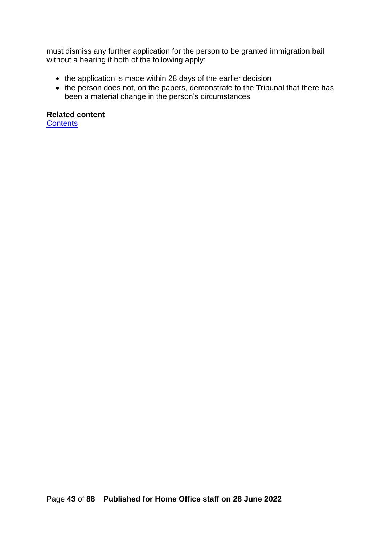must dismiss any further application for the person to be granted immigration bail without a hearing if both of the following apply:

- the application is made within 28 days of the earlier decision
- the person does not, on the papers, demonstrate to the Tribunal that there has been a material change in the person's circumstances

**Related content**

**[Contents](#page-1-0)**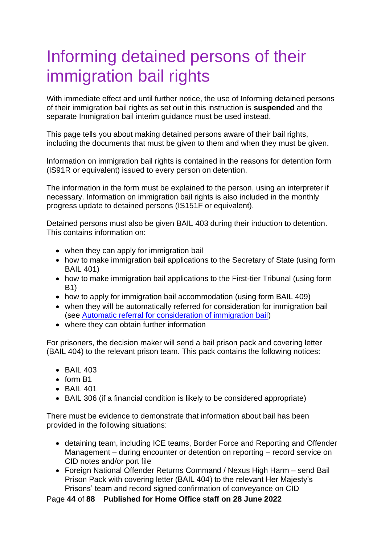# <span id="page-43-0"></span>Informing detained persons of their immigration bail rights

With immediate effect and until further notice, the use of Informing detained persons of their immigration bail rights as set out in this instruction is **suspended** and the separate Immigration bail interim guidance must be used instead.

This page tells you about making detained persons aware of their bail rights, including the documents that must be given to them and when they must be given.

Information on immigration bail rights is contained in the reasons for detention form (IS91R or equivalent) issued to every person on detention.

The information in the form must be explained to the person, using an interpreter if necessary. Information on immigration bail rights is also included in the monthly progress update to detained persons (IS151F or equivalent).

Detained persons must also be given BAIL 403 during their induction to detention. This contains information on:

- when they can apply for immigration bail
- how to make immigration bail applications to the Secretary of State (using form BAIL 401)
- how to make immigration bail applications to the First-tier Tribunal (using form B1)
- how to apply for immigration bail accommodation (using form BAIL 409)
- when they will be automatically referred for consideration for immigration bail (see [Automatic referral for consideration of immigration bail\)](#page-72-0)
- where they can obtain further information

For prisoners, the decision maker will send a bail prison pack and covering letter (BAIL 404) to the relevant prison team. This pack contains the following notices:

- BAIL 403
- form R1
- BAIL 401
- BAIL 306 (if a financial condition is likely to be considered appropriate)

There must be evidence to demonstrate that information about bail has been provided in the following situations:

- detaining team, including ICE teams, Border Force and Reporting and Offender Management – during encounter or detention on reporting – record service on CID notes and/or port file
- Foreign National Offender Returns Command / Nexus High Harm send Bail Prison Pack with covering letter (BAIL 404) to the relevant Her Majesty's Prisons' team and record signed confirmation of conveyance on CID

Page **44** of **88 Published for Home Office staff on 28 June 2022**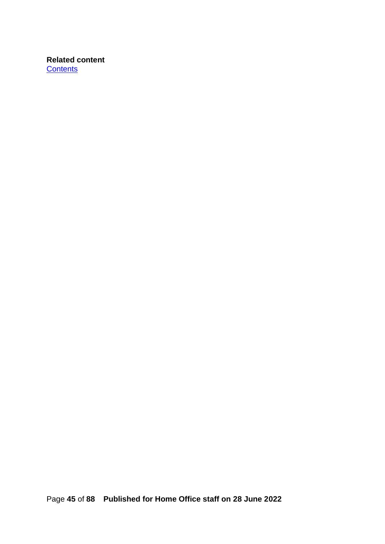**Related content [Contents](#page-1-0)**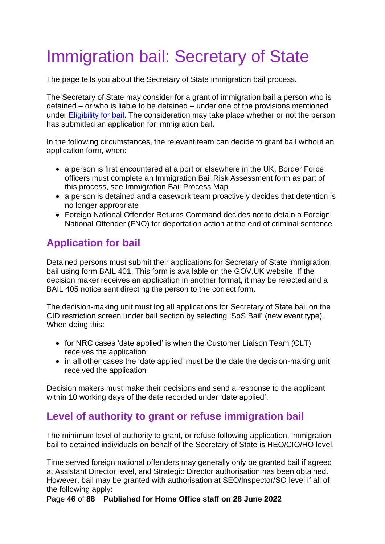# Immigration bail: Secretary of State

The page tells you about the Secretary of State immigration bail process.

The Secretary of State may consider for a grant of immigration bail a person who is detained – or who is liable to be detained – under one of the provisions mentioned under [Eligibility for bail.](#page-7-0) The consideration may take place whether or not the person has submitted an application for immigration bail.

In the following circumstances, the relevant team can decide to grant bail without an application form, when:

- a person is first encountered at a port or elsewhere in the UK, Border Force officers must complete an Immigration Bail Risk Assessment form as part of this process, see Immigration Bail Process Map
- a person is detained and a casework team proactively decides that detention is no longer appropriate
- Foreign National Offender Returns Command decides not to detain a Foreign National Offender (FNO) for deportation action at the end of criminal sentence

# **Application for bail**

Detained persons must submit their applications for Secretary of State immigration bail using form BAIL 401. This form is available on the GOV.UK website. If the decision maker receives an application in another format, it may be rejected and a BAIL 405 notice sent directing the person to the correct form.

The decision-making unit must log all applications for Secretary of State bail on the CID restriction screen under bail section by selecting 'SoS Bail' (new event type)*.* When doing this:

- for NRC cases 'date applied' is when the Customer Liaison Team (CLT) receives the application
- in all other cases the 'date applied' must be the date the decision-making unit received the application

Decision makers must make their decisions and send a response to the applicant within 10 working days of the date recorded under 'date applied'.

## <span id="page-45-0"></span>**Level of authority to grant or refuse immigration bail**

The minimum level of authority to grant, or refuse following application, immigration bail to detained individuals on behalf of the Secretary of State is HEO/CIO/HO level.

Time served foreign national offenders may generally only be granted bail if agreed at Assistant Director level, and Strategic Director authorisation has been obtained. However, bail may be granted with authorisation at SEO/Inspector/SO level if all of the following apply:

Page **46** of **88 Published for Home Office staff on 28 June 2022**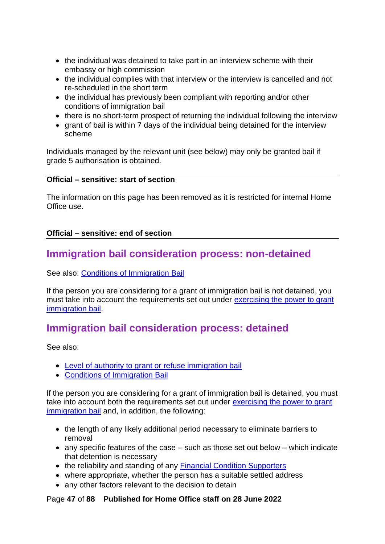- the individual was detained to take part in an interview scheme with their embassy or high commission
- the individual complies with that interview or the interview is cancelled and not re-scheduled in the short term
- the individual has previously been compliant with reporting and/or other conditions of immigration bail
- there is no short-term prospect of returning the individual following the interview
- grant of bail is within 7 days of the individual being detained for the interview scheme

Individuals managed by the relevant unit (see below) may only be granted bail if grade 5 authorisation is obtained.

#### **Official – sensitive: start of section**

The information on this page has been removed as it is restricted for internal Home Office use.

#### **Official – sensitive: end of section**

## **Immigration bail consideration process: non-detained**

See also: [Conditions of Immigration Bail](#page-10-1)

If the person you are considering for a grant of immigration bail is not detained, you must take into account the requirements set out under [exercising the power to grant](#page-40-0)  [immigration bail.](#page-40-0)

# <span id="page-46-0"></span>**Immigration bail consideration process: detained**

See also:

- [Level of authority to grant or refuse immigration bail](#page-45-0)
- [Conditions of Immigration Bail](#page-10-1)

If the person you are considering for a grant of immigration bail is detained, you must take into account both the requirements set out under [exercising the power to grant](#page-40-0)  [immigration bail](#page-40-0) and, in addition, the following:

- the length of any likely additional period necessary to eliminate barriers to removal
- any specific features of the case such as those set out below which indicate that detention is necessary
- the reliability and standing of any [Financial Condition Supporters](#page-37-0)
- where appropriate, whether the person has a suitable settled address
- any other factors relevant to the decision to detain

#### Page **47** of **88 Published for Home Office staff on 28 June 2022**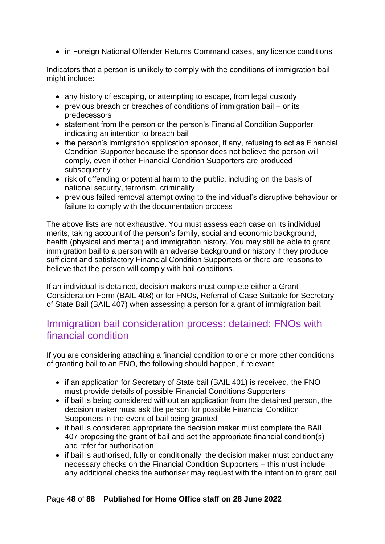• in Foreign National Offender Returns Command cases, any licence conditions

Indicators that a person is unlikely to comply with the conditions of immigration bail might include:

- any history of escaping, or attempting to escape, from legal custody
- previous breach or breaches of conditions of immigration bail or its predecessors
- statement from the person or the person's Financial Condition Supporter indicating an intention to breach bail
- the person's immigration application sponsor, if any, refusing to act as Financial Condition Supporter because the sponsor does not believe the person will comply, even if other Financial Condition Supporters are produced subsequently
- risk of offending or potential harm to the public, including on the basis of national security, terrorism, criminality
- previous failed removal attempt owing to the individual's disruptive behaviour or failure to comply with the documentation process

The above lists are not exhaustive. You must assess each case on its individual merits, taking account of the person's family, social and economic background, health (physical and mental) and immigration history. You may still be able to grant immigration bail to a person with an adverse background or history if they produce sufficient and satisfactory Financial Condition Supporters or there are reasons to believe that the person will comply with bail conditions.

If an individual is detained, decision makers must complete either a Grant Consideration Form (BAIL 408) or for FNOs, Referral of Case Suitable for Secretary of State Bail (BAIL 407) when assessing a person for a grant of immigration bail.

## <span id="page-47-0"></span>Immigration bail consideration process: detained: FNOs with financial condition

If you are considering attaching a financial condition to one or more other conditions of granting bail to an FNO, the following should happen, if relevant:

- if an application for Secretary of State bail (BAIL 401) is received, the FNO must provide details of possible Financial Conditions Supporters
- if bail is being considered without an application from the detained person, the decision maker must ask the person for possible Financial Condition Supporters in the event of bail being granted
- if bail is considered appropriate the decision maker must complete the BAIL 407 proposing the grant of bail and set the appropriate financial condition(s) and refer for authorisation
- if bail is authorised, fully or conditionally, the decision maker must conduct any necessary checks on the Financial Condition Supporters – this must include any additional checks the authoriser may request with the intention to grant bail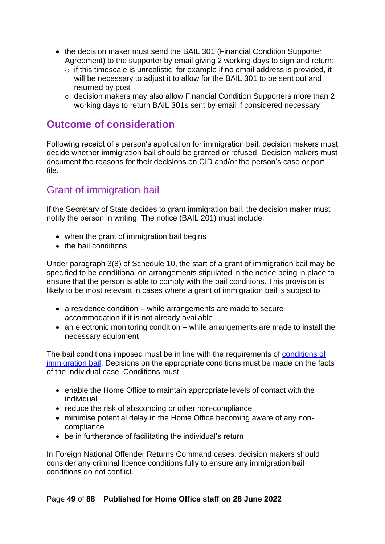- the decision maker must send the BAIL 301 (Financial Condition Supporter Agreement) to the supporter by email giving 2 working days to sign and return:
	- o if this timescale is unrealistic, for example if no email address is provided, it will be necessary to adjust it to allow for the BAIL 301 to be sent out and returned by post
	- o decision makers may also allow Financial Condition Supporters more than 2 working days to return BAIL 301s sent by email if considered necessary

## **Outcome of consideration**

Following receipt of a person's application for immigration bail, decision makers must decide whether immigration bail should be granted or refused. Decision makers must document the reasons for their decisions on CID and/or the person's case or port file.

# Grant of immigration bail

If the Secretary of State decides to grant immigration bail, the decision maker must notify the person in writing. The notice (BAIL 201) must include:

- when the grant of immigration bail begins
- the bail conditions

Under paragraph 3(8) of Schedule 10, the start of a grant of immigration bail may be specified to be conditional on arrangements stipulated in the notice being in place to ensure that the person is able to comply with the bail conditions. This provision is likely to be most relevant in cases where a grant of immigration bail is subject to:

- a residence condition while arrangements are made to secure accommodation if it is not already available
- an electronic monitoring condition while arrangements are made to install the necessary equipment

The bail conditions imposed must be in line with the requirements of conditions of [immigration bail.](#page-10-1) Decisions on the appropriate conditions must be made on the facts of the individual case. Conditions must:

- enable the Home Office to maintain appropriate levels of contact with the individual
- reduce the risk of absconding or other non-compliance
- minimise potential delay in the Home Office becoming aware of any noncompliance
- be in furtherance of facilitating the individual's return

In Foreign National Offender Returns Command cases, decision makers should consider any criminal licence conditions fully to ensure any immigration bail conditions do not conflict.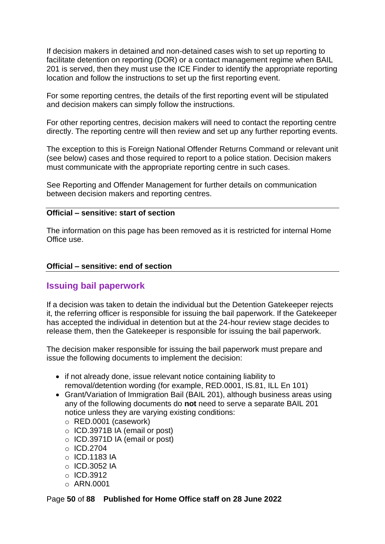If decision makers in detained and non-detained cases wish to set up reporting to facilitate detention on reporting (DOR) or a contact management regime when BAIL 201 is served, then they must use the ICE Finder to identify the appropriate reporting location and follow the instructions to set up the first reporting event.

For some reporting centres, the details of the first reporting event will be stipulated and decision makers can simply follow the instructions.

For other reporting centres, decision makers will need to contact the reporting centre directly. The reporting centre will then review and set up any further reporting events.

The exception to this is Foreign National Offender Returns Command or relevant unit (see below) cases and those required to report to a police station. Decision makers must communicate with the appropriate reporting centre in such cases.

See Reporting and Offender Management for further details on communication between decision makers and reporting centres.

#### **Official – sensitive: start of section**

The information on this page has been removed as it is restricted for internal Home Office use.

#### **Official – sensitive: end of section**

#### **Issuing bail paperwork**

If a decision was taken to detain the individual but the Detention Gatekeeper rejects it, the referring officer is responsible for issuing the bail paperwork. If the Gatekeeper has accepted the individual in detention but at the 24-hour review stage decides to release them, then the Gatekeeper is responsible for issuing the bail paperwork.

The decision maker responsible for issuing the bail paperwork must prepare and issue the following documents to implement the decision:

- if not already done, issue relevant notice containing liability to removal/detention wording (for example, RED.0001, IS.81, ILL En 101)
- Grant/Variation of Immigration Bail (BAIL 201), although business areas using any of the following documents do **not** need to serve a separate BAIL 201 notice unless they are varying existing conditions:
	- o RED.0001 (casework)
	- o ICD.3971B IA (email or post)
	- o ICD.3971D IA (email or post)
	- o ICD.2704
	- $\circ$  ICD.1183 IA
	- $\circ$  ICD.3052 IA
	- $\circ$  ICD.3912
	- o ARN.0001

Page **50** of **88 Published for Home Office staff on 28 June 2022**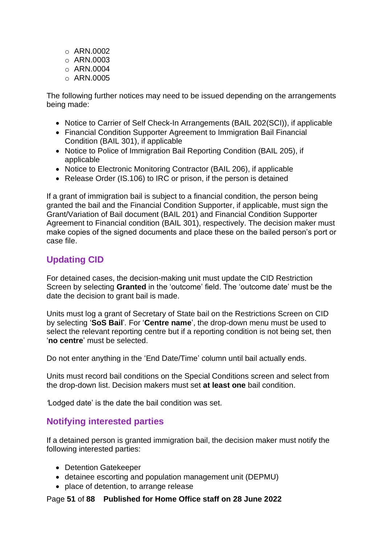- o ARN.0002
- $\circ$  ARN.0003
- $\circ$  ARN.0004
- $\circ$  ARN.0005

The following further notices may need to be issued depending on the arrangements being made:

- Notice to Carrier of Self Check-In Arrangements (BAIL 202(SCI)), if applicable
- Financial Condition Supporter Agreement to Immigration Bail Financial Condition (BAIL 301), if applicable
- Notice to Police of Immigration Bail Reporting Condition (BAIL 205), if applicable
- Notice to Electronic Monitoring Contractor (BAIL 206), if applicable
- Release Order (IS.106) to IRC or prison, if the person is detained

If a grant of immigration bail is subject to a financial condition, the person being granted the bail and the Financial Condition Supporter, if applicable, must sign the Grant/Variation of Bail document (BAIL 201) and Financial Condition Supporter Agreement to Financial condition (BAIL 301), respectively. The decision maker must make copies of the signed documents and place these on the bailed person's port or case file.

## **Updating CID**

For detained cases, the decision-making unit must update the CID Restriction Screen by selecting **Granted** in the 'outcome' field. The 'outcome date' must be the date the decision to grant bail is made.

Units must log a grant of Secretary of State bail on the Restrictions Screen on CID by selecting '**SoS Bail**'*.* For '**Centre name**', the drop-down menu must be used to select the relevant reporting centre but if a reporting condition is not being set, then '**no centre**' must be selected.

Do not enter anything in the 'End Date/Time' column until bail actually ends.

Units must record bail conditions on the Special Conditions screen and select from the drop-down list. Decision makers must set **at least one** bail condition.

*'*Lodged date' is the date the bail condition was set.

### **Notifying interested parties**

If a detained person is granted immigration bail, the decision maker must notify the following interested parties:

- Detention Gatekeeper
- detainee escorting and population management unit (DEPMU)
- place of detention, to arrange release

Page **51** of **88 Published for Home Office staff on 28 June 2022**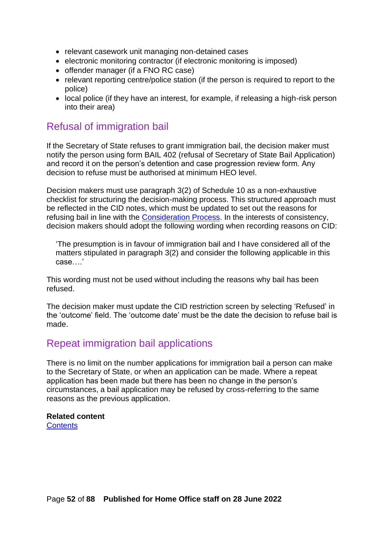- relevant casework unit managing non-detained cases
- electronic monitoring contractor (if electronic monitoring is imposed)
- offender manager (if a FNO RC case)
- relevant reporting centre/police station (if the person is required to report to the police)
- local police (if they have an interest, for example, if releasing a high-risk person into their area)

## Refusal of immigration bail

If the Secretary of State refuses to grant immigration bail, the decision maker must notify the person using form BAIL 402 (refusal of Secretary of State Bail Application) and record it on the person's detention and case progression review form. Any decision to refuse must be authorised at minimum HEO level.

Decision makers must use paragraph 3(2) of Schedule 10 as a non-exhaustive checklist for structuring the decision-making process. This structured approach must be reflected in the CID notes, which must be updated to set out the reasons for refusing bail in line with the [Consideration Process.](#page-46-0) In the interests of consistency, decision makers should adopt the following wording when recording reasons on CID:

'The presumption is in favour of immigration bail and I have considered all of the matters stipulated in paragraph 3(2) and consider the following applicable in this case….'

This wording must not be used without including the reasons why bail has been refused.

The decision maker must update the CID restriction screen by selecting 'Refused' in the 'outcome' field. The 'outcome date' must be the date the decision to refuse bail is made.

## Repeat immigration bail applications

There is no limit on the number applications for immigration bail a person can make to the Secretary of State, or when an application can be made. Where a repeat application has been made but there has been no change in the person's circumstances, a bail application may be refused by cross-referring to the same reasons as the previous application.

#### **Related content**

**[Contents](#page-1-0)**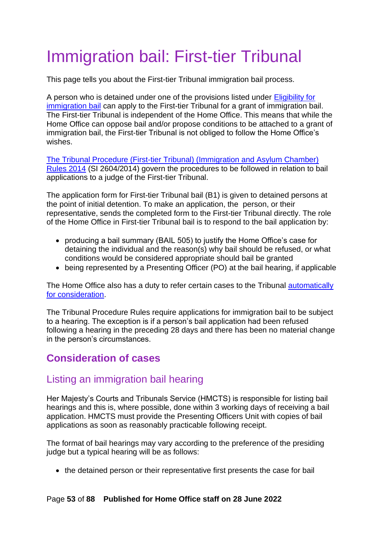# Immigration bail: First-tier Tribunal

This page tells you about the First-tier Tribunal immigration bail process.

A person who is detained under one of the provisions listed under [Eligibility for](#page-7-0)  [immigration bail](#page-7-0) can apply to the First-tier Tribunal for a grant of immigration bail. The First-tier Tribunal is independent of the Home Office. This means that while the Home Office can oppose bail and/or propose conditions to be attached to a grant of immigration bail, the First-tier Tribunal is not obliged to follow the Home Office's wishes.

[The Tribunal Procedure \(First-tier Tribunal\) \(Immigration and Asylum Chamber\)](https://www.gov.uk/government/uploads/system/uploads/attachment_data/file/367129/immigration-asylum-chamber-tribunal-procedure-rules.pdf)  [Rules 2014](https://www.gov.uk/government/uploads/system/uploads/attachment_data/file/367129/immigration-asylum-chamber-tribunal-procedure-rules.pdf) (SI 2604/2014) govern the procedures to be followed in relation to bail applications to a judge of the First-tier Tribunal.

The application form for First-tier Tribunal bail (B1) is given to detained persons at the point of initial detention. To make an application, the person, or their representative, sends the completed form to the First-tier Tribunal directly. The role of the Home Office in First-tier Tribunal bail is to respond to the bail application by:

- producing a bail summary (BAIL 505) to justify the Home Office's case for detaining the individual and the reason(s) why bail should be refused, or what conditions would be considered appropriate should bail be granted
- being represented by a Presenting Officer (PO) at the bail hearing, if applicable

The Home Office also has a duty to refer certain cases to the Tribunal automatically [for consideration.](#page-72-0)

The Tribunal Procedure Rules require applications for immigration bail to be subject to a hearing. The exception is if a person's bail application had been refused following a hearing in the preceding 28 days and there has been no material change in the person's circumstances.

# **Consideration of cases**

## Listing an immigration bail hearing

Her Majesty's Courts and Tribunals Service (HMCTS) is responsible for listing bail hearings and this is, where possible, done within 3 working days of receiving a bail application. HMCTS must provide the Presenting Officers Unit with copies of bail applications as soon as reasonably practicable following receipt.

The format of bail hearings may vary according to the preference of the presiding judge but a typical hearing will be as follows:

• the detained person or their representative first presents the case for bail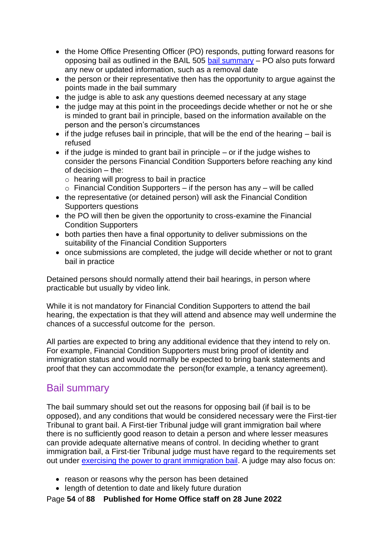- the Home Office Presenting Officer (PO) responds, putting forward reasons for opposing bail as outlined in the BAIL 505 [bail summary](#page-53-0)  $-$  PO also puts forward any new or updated information, such as a removal date
- the person or their representative then has the opportunity to argue against the points made in the bail summary
- the judge is able to ask any questions deemed necessary at any stage
- the judge may at this point in the proceedings decide whether or not he or she is minded to grant bail in principle, based on the information available on the person and the person's circumstances
- if the judge refuses bail in principle, that will be the end of the hearing bail is refused
- $\bullet$  if the judge is minded to grant bail in principle or if the judge wishes to consider the persons Financial Condition Supporters before reaching any kind of decision – the:
	- o hearing will progress to bail in practice
	- $\circ$  Financial Condition Supporters if the person has any will be called
- the representative (or detained person) will ask the Financial Condition Supporters questions
- the PO will then be given the opportunity to cross-examine the Financial Condition Supporters
- both parties then have a final opportunity to deliver submissions on the suitability of the Financial Condition Supporters
- once submissions are completed, the judge will decide whether or not to grant bail in practice

Detained persons should normally attend their bail hearings, in person where practicable but usually by video link.

While it is not mandatory for Financial Condition Supporters to attend the bail hearing, the expectation is that they will attend and absence may well undermine the chances of a successful outcome for the person.

All parties are expected to bring any additional evidence that they intend to rely on. For example, Financial Condition Supporters must bring proof of identity and immigration status and would normally be expected to bring bank statements and proof that they can accommodate the person(for example, a tenancy agreement).

## <span id="page-53-0"></span>Bail summary

The bail summary should set out the reasons for opposing bail (if bail is to be opposed), and any conditions that would be considered necessary were the First-tier Tribunal to grant bail. A First-tier Tribunal judge will grant immigration bail where there is no sufficiently good reason to detain a person and where lesser measures can provide adequate alternative means of control. In deciding whether to grant immigration bail, a First-tier Tribunal judge must have regard to the requirements set out under [exercising the power to grant immigration bail.](#page-40-0) A judge may also focus on:

- reason or reasons why the person has been detained
- length of detention to date and likely future duration

Page **54** of **88 Published for Home Office staff on 28 June 2022**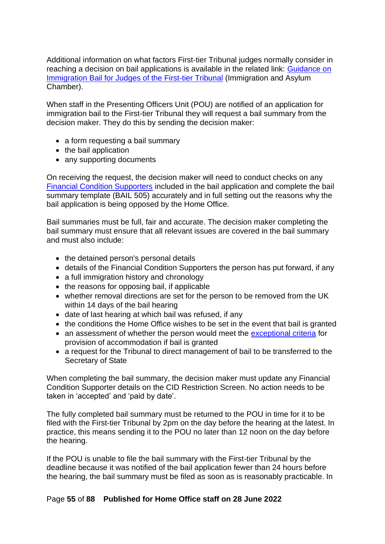Additional information on what factors First-tier Tribunal judges normally consider in reaching a decision on bail applications is available in the related link: [Guidance on](https://www.judiciary.gov.uk/publications/guidance-on-immigration-bail-for-judges-of-the-first-tier-tribunal/)  [Immigration Bail for Judges of the First-tier Tribunal](https://www.judiciary.gov.uk/publications/guidance-on-immigration-bail-for-judges-of-the-first-tier-tribunal/) (Immigration and Asylum Chamber).

When staff in the Presenting Officers Unit (POU) are notified of an application for immigration bail to the First-tier Tribunal they will request a bail summary from the decision maker. They do this by sending the decision maker:

- a form requesting a bail summary
- the bail application
- any supporting documents

On receiving the request, the decision maker will need to conduct checks on any [Financial Condition Supporters](#page-38-1) included in the bail application and complete the bail summary template (BAIL 505) accurately and in full setting out the reasons why the bail application is being opposed by the Home Office.

Bail summaries must be full, fair and accurate. The decision maker completing the bail summary must ensure that all relevant issues are covered in the bail summary and must also include:

- the detained person's personal details
- details of the Financial Condition Supporters the person has put forward, if any
- a full immigration history and chronology
- the reasons for opposing bail, if applicable
- whether removal directions are set for the person to be removed from the UK within 14 days of the bail hearing
- date of last hearing at which bail was refused, if any
- the conditions the Home Office wishes to be set in the event that bail is granted
- an assessment of whether the person would meet the [exceptional criteria](#page-64-0) for provision of accommodation if bail is granted
- a request for the Tribunal to direct management of bail to be transferred to the Secretary of State

When completing the bail summary, the decision maker must update any Financial Condition Supporter details on the CID Restriction Screen. No action needs to be taken in 'accepted' and 'paid by date'.

The fully completed bail summary must be returned to the POU in time for it to be filed with the First-tier Tribunal by 2pm on the day before the hearing at the latest. In practice, this means sending it to the POU no later than 12 noon on the day before the hearing.

If the POU is unable to file the bail summary with the First-tier Tribunal by the deadline because it was notified of the bail application fewer than 24 hours before the hearing, the bail summary must be filed as soon as is reasonably practicable. In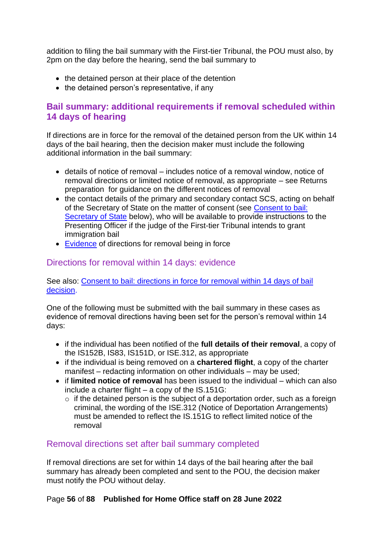addition to filing the bail summary with the First-tier Tribunal, the POU must also, by 2pm on the day before the hearing, send the bail summary to

- the detained person at their place of the detention
- the detained person's representative, if any

## **Bail summary: additional requirements if removal scheduled within 14 days of hearing**

If directions are in force for the removal of the detained person from the UK within 14 days of the bail hearing, then the decision maker must include the following additional information in the bail summary:

- details of notice of removal includes notice of a removal window, notice of removal directions or limited notice of removal, as appropriate – see Returns preparation for guidance on the different notices of removal
- the contact details of the primary and secondary contact SCS, acting on behalf of the Secretary of State on the matter of consent (see Consent to bail: Secretary of State below), who will be available to provide instructions to the Presenting Officer if the judge of the First-tier Tribunal intends to grant immigration bail
- [Evidence](#page-55-0) of directions for removal being in force

## <span id="page-55-0"></span>Directions for removal within 14 days: evidence

See also: [Consent to bail: directions in force for removal within 14 days of bail](#page-41-0)  [decision.](#page-41-0)

One of the following must be submitted with the bail summary in these cases as evidence of removal directions having been set for the person's removal within 14 days:

- if the individual has been notified of the **full details of their removal**, a copy of the IS152B, IS83, IS151D, or ISE.312, as appropriate
- if the individual is being removed on a **chartered flight**, a copy of the charter manifest – redacting information on other individuals – may be used;
- if **limited notice of removal** has been issued to the individual which can also include a charter flight – a copy of the IS.151G:
	- $\circ$  if the detained person is the subject of a deportation order, such as a foreign criminal, the wording of the ISE.312 (Notice of Deportation Arrangements) must be amended to reflect the IS.151G to reflect limited notice of the removal

### Removal directions set after bail summary completed

If removal directions are set for within 14 days of the bail hearing after the bail summary has already been completed and sent to the POU, the decision maker must notify the POU without delay.

#### Page **56** of **88 Published for Home Office staff on 28 June 2022**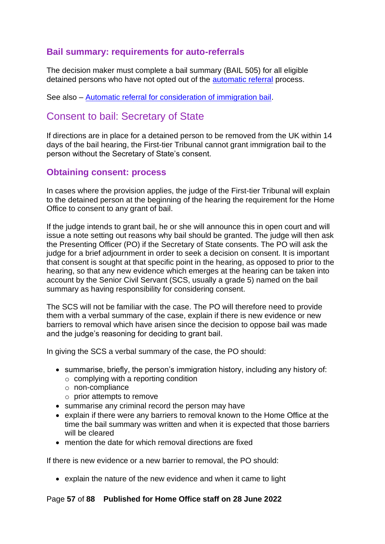## **Bail summary: requirements for auto-referrals**

The decision maker must complete a bail summary (BAIL 505) for all eligible detained persons who have not opted out of the [automatic referral](#page-72-0) process.

See also – [Automatic referral for consideration of immigration bail.](#page-72-0)

# <span id="page-56-0"></span>Consent to bail: Secretary of State

If directions are in place for a detained person to be removed from the UK within 14 days of the bail hearing, the First-tier Tribunal cannot grant immigration bail to the person without the Secretary of State's consent.

### **Obtaining consent: process**

In cases where the provision applies, the judge of the First-tier Tribunal will explain to the detained person at the beginning of the hearing the requirement for the Home Office to consent to any grant of bail.

If the judge intends to grant bail, he or she will announce this in open court and will issue a note setting out reasons why bail should be granted. The judge will then ask the Presenting Officer (PO) if the Secretary of State consents. The PO will ask the judge for a brief adjournment in order to seek a decision on consent. It is important that consent is sought at that specific point in the hearing, as opposed to prior to the hearing, so that any new evidence which emerges at the hearing can be taken into account by the Senior Civil Servant (SCS, usually a grade 5) named on the bail summary as having responsibility for considering consent.

The SCS will not be familiar with the case. The PO will therefore need to provide them with a verbal summary of the case, explain if there is new evidence or new barriers to removal which have arisen since the decision to oppose bail was made and the judge's reasoning for deciding to grant bail.

In giving the SCS a verbal summary of the case, the PO should:

- summarise, briefly, the person's immigration history, including any history of:
	- $\circ$  complying with a reporting condition
	- o non-compliance
	- o prior attempts to remove
- summarise any criminal record the person may have
- explain if there were any barriers to removal known to the Home Office at the time the bail summary was written and when it is expected that those barriers will be cleared
- mention the date for which removal directions are fixed

If there is new evidence or a new barrier to removal, the PO should:

• explain the nature of the new evidence and when it came to light

#### Page **57** of **88 Published for Home Office staff on 28 June 2022**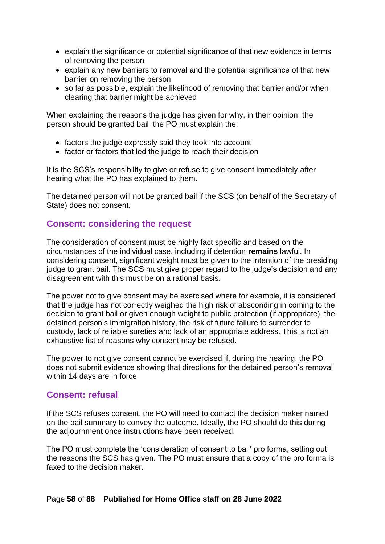- explain the significance or potential significance of that new evidence in terms of removing the person
- explain any new barriers to removal and the potential significance of that new barrier on removing the person
- so far as possible, explain the likelihood of removing that barrier and/or when clearing that barrier might be achieved

When explaining the reasons the judge has given for why, in their opinion, the person should be granted bail, the PO must explain the:

- factors the judge expressly said they took into account
- factor or factors that led the judge to reach their decision

It is the SCS's responsibility to give or refuse to give consent immediately after hearing what the PO has explained to them.

The detained person will not be granted bail if the SCS (on behalf of the Secretary of State) does not consent.

### **Consent: considering the request**

The consideration of consent must be highly fact specific and based on the circumstances of the individual case, including if detention **remains** lawful. In considering consent, significant weight must be given to the intention of the presiding judge to grant bail. The SCS must give proper regard to the judge's decision and any disagreement with this must be on a rational basis.

The power not to give consent may be exercised where for example, it is considered that the judge has not correctly weighed the high risk of absconding in coming to the decision to grant bail or given enough weight to public protection (if appropriate), the detained person's immigration history, the risk of future failure to surrender to custody, lack of reliable sureties and lack of an appropriate address. This is not an exhaustive list of reasons why consent may be refused.

The power to not give consent cannot be exercised if, during the hearing, the PO does not submit evidence showing that directions for the detained person's removal within 14 days are in force.

#### **Consent: refusal**

If the SCS refuses consent, the PO will need to contact the decision maker named on the bail summary to convey the outcome. Ideally, the PO should do this during the adjournment once instructions have been received.

The PO must complete the 'consideration of consent to bail' pro forma, setting out the reasons the SCS has given. The PO must ensure that a copy of the pro forma is faxed to the decision maker.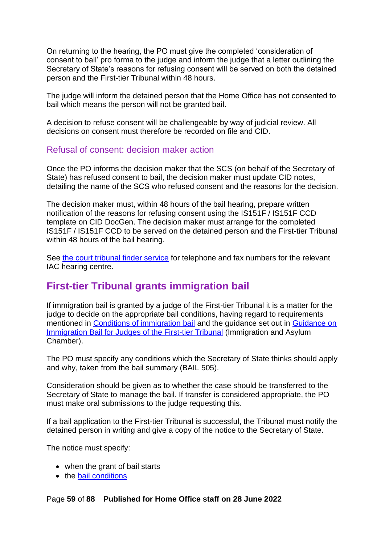On returning to the hearing, the PO must give the completed 'consideration of consent to bail' pro forma to the judge and inform the judge that a letter outlining the Secretary of State's reasons for refusing consent will be served on both the detained person and the First-tier Tribunal within 48 hours.

The judge will inform the detained person that the Home Office has not consented to bail which means the person will not be granted bail.

A decision to refuse consent will be challengeable by way of judicial review. All decisions on consent must therefore be recorded on file and CID.

#### Refusal of consent: decision maker action

Once the PO informs the decision maker that the SCS (on behalf of the Secretary of State) has refused consent to bail, the decision maker must update CID notes, detailing the name of the SCS who refused consent and the reasons for the decision.

The decision maker must, within 48 hours of the bail hearing, prepare written notification of the reasons for refusing consent using the IS151F / IS151F CCD template on CID DocGen. The decision maker must arrange for the completed IS151F / IS151F CCD to be served on the detained person and the First-tier Tribunal within 48 hours of the bail hearing.

See [the court tribunal finder service](https://courttribunalfinder.service.gov.uk/courts/) for telephone and fax numbers for the relevant IAC hearing centre.

## **First-tier Tribunal grants immigration bail**

If immigration bail is granted by a judge of the First-tier Tribunal it is a matter for the judge to decide on the appropriate bail conditions, having regard to requirements mentioned in [Conditions of immigration bail](#page-10-1) and the guidance set out in [Guidance on](https://www.judiciary.gov.uk/publications/guidance-on-immigration-bail-for-judges-of-the-first-tier-tribunal/)  [Immigration Bail for Judges of the First-tier Tribunal](https://www.judiciary.gov.uk/publications/guidance-on-immigration-bail-for-judges-of-the-first-tier-tribunal/) (Immigration and Asylum Chamber).

The PO must specify any conditions which the Secretary of State thinks should apply and why, taken from the bail summary (BAIL 505).

Consideration should be given as to whether the case should be transferred to the Secretary of State to manage the bail. If transfer is considered appropriate, the PO must make oral submissions to the judge requesting this.

If a bail application to the First-tier Tribunal is successful, the Tribunal must notify the detained person in writing and give a copy of the notice to the Secretary of State.

The notice must specify:

- when the grant of bail starts
- the **bail conditions**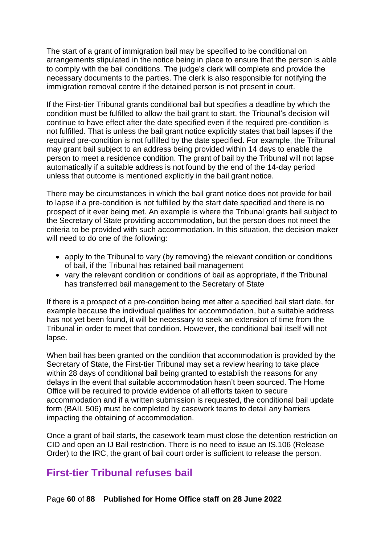The start of a grant of immigration bail may be specified to be conditional on arrangements stipulated in the notice being in place to ensure that the person is able to comply with the bail conditions. The judge's clerk will complete and provide the necessary documents to the parties. The clerk is also responsible for notifying the immigration removal centre if the detained person is not present in court.

If the First-tier Tribunal grants conditional bail but specifies a deadline by which the condition must be fulfilled to allow the bail grant to start, the Tribunal's decision will continue to have effect after the date specified even if the required pre-condition is not fulfilled. That is unless the bail grant notice explicitly states that bail lapses if the required pre-condition is not fulfilled by the date specified. For example, the Tribunal may grant bail subject to an address being provided within 14 days to enable the person to meet a residence condition. The grant of bail by the Tribunal will not lapse automatically if a suitable address is not found by the end of the 14-day period unless that outcome is mentioned explicitly in the bail grant notice.

There may be circumstances in which the bail grant notice does not provide for bail to lapse if a pre-condition is not fulfilled by the start date specified and there is no prospect of it ever being met. An example is where the Tribunal grants bail subject to the Secretary of State providing accommodation, but the person does not meet the criteria to be provided with such accommodation. In this situation, the decision maker will need to do one of the following:

- apply to the Tribunal to vary (by removing) the relevant condition or conditions of bail, if the Tribunal has retained bail management
- vary the relevant condition or conditions of bail as appropriate, if the Tribunal has transferred bail management to the Secretary of State

If there is a prospect of a pre-condition being met after a specified bail start date, for example because the individual qualifies for accommodation, but a suitable address has not yet been found, it will be necessary to seek an extension of time from the Tribunal in order to meet that condition. However, the conditional bail itself will not lapse.

When bail has been granted on the condition that accommodation is provided by the Secretary of State, the First-tier Tribunal may set a review hearing to take place within 28 days of conditional bail being granted to establish the reasons for any delays in the event that suitable accommodation hasn't been sourced. The Home Office will be required to provide evidence of all efforts taken to secure accommodation and if a written submission is requested, the conditional bail update form (BAIL 506) must be completed by casework teams to detail any barriers impacting the obtaining of accommodation.

Once a grant of bail starts, the casework team must close the detention restriction on CID and open an IJ Bail restriction. There is no need to issue an IS.106 (Release Order) to the IRC, the grant of bail court order is sufficient to release the person.

# **First-tier Tribunal refuses bail**

Page **60** of **88 Published for Home Office staff on 28 June 2022**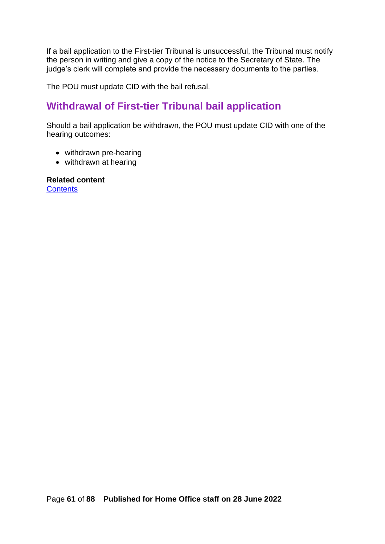If a bail application to the First-tier Tribunal is unsuccessful, the Tribunal must notify the person in writing and give a copy of the notice to the Secretary of State. The judge's clerk will complete and provide the necessary documents to the parties.

The POU must update CID with the bail refusal.

# **Withdrawal of First-tier Tribunal bail application**

Should a bail application be withdrawn, the POU must update CID with one of the hearing outcomes:

- withdrawn pre-hearing
- withdrawn at hearing

**Related content [Contents](#page-1-0)**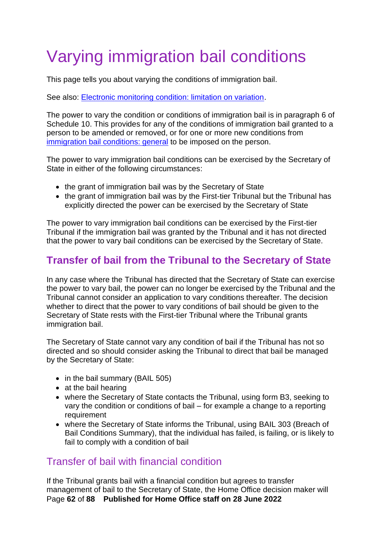# Varying immigration bail conditions

This page tells you about varying the conditions of immigration bail.

See also: [Electronic monitoring condition: limitation on variation.](#page-63-0)

The power to vary the condition or conditions of immigration bail is in paragraph 6 of Schedule 10. This provides for any of the conditions of immigration bail granted to a person to be amended or removed, or for one or more new conditions from [immigration bail conditions: general](#page-10-0) to be imposed on the person.

The power to vary immigration bail conditions can be exercised by the Secretary of State in either of the following circumstances:

- the grant of immigration bail was by the Secretary of State
- the grant of immigration bail was by the First-tier Tribunal but the Tribunal has explicitly directed the power can be exercised by the Secretary of State

The power to vary immigration bail conditions can be exercised by the First-tier Tribunal if the immigration bail was granted by the Tribunal and it has not directed that the power to vary bail conditions can be exercised by the Secretary of State.

# **Transfer of bail from the Tribunal to the Secretary of State**

In any case where the Tribunal has directed that the Secretary of State can exercise the power to vary bail, the power can no longer be exercised by the Tribunal and the Tribunal cannot consider an application to vary conditions thereafter. The decision whether to direct that the power to vary conditions of bail should be given to the Secretary of State rests with the First-tier Tribunal where the Tribunal grants immigration bail.

The Secretary of State cannot vary any condition of bail if the Tribunal has not so directed and so should consider asking the Tribunal to direct that bail be managed by the Secretary of State:

- in the bail summary (BAIL 505)
- at the bail hearing
- where the Secretary of State contacts the Tribunal, using form B3, seeking to vary the condition or conditions of bail – for example a change to a reporting requirement
- where the Secretary of State informs the Tribunal, using BAIL 303 (Breach of Bail Conditions Summary), that the individual has failed, is failing, or is likely to fail to comply with a condition of bail

## Transfer of bail with financial condition

Page **62** of **88 Published for Home Office staff on 28 June 2022** If the Tribunal grants bail with a financial condition but agrees to transfer management of bail to the Secretary of State, the Home Office decision maker will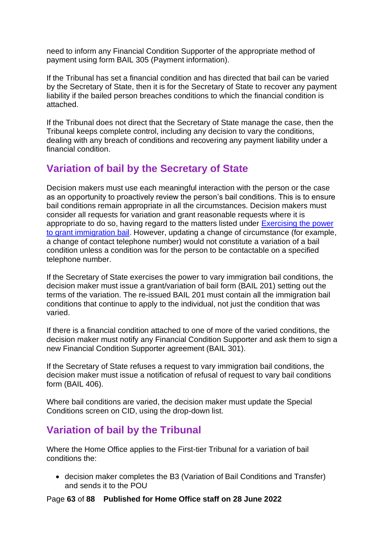need to inform any Financial Condition Supporter of the appropriate method of payment using form BAIL 305 (Payment information).

If the Tribunal has set a financial condition and has directed that bail can be varied by the Secretary of State, then it is for the Secretary of State to recover any payment liability if the bailed person breaches conditions to which the financial condition is attached.

If the Tribunal does not direct that the Secretary of State manage the case, then the Tribunal keeps complete control, including any decision to vary the conditions, dealing with any breach of conditions and recovering any payment liability under a financial condition.

# **Variation of bail by the Secretary of State**

Decision makers must use each meaningful interaction with the person or the case as an opportunity to proactively review the person's bail conditions. This is to ensure bail conditions remain appropriate in all the circumstances. Decision makers must consider all requests for variation and grant reasonable requests where it is appropriate to do so, having regard to the matters listed under [Exercising the power](#page-39-0)  [to grant immigration bail.](#page-39-0) However, updating a change of circumstance (for example, a change of contact telephone number) would not constitute a variation of a bail condition unless a condition was for the person to be contactable on a specified telephone number.

If the Secretary of State exercises the power to vary immigration bail conditions, the decision maker must issue a grant/variation of bail form (BAIL 201) setting out the terms of the variation. The re-issued BAIL 201 must contain all the immigration bail conditions that continue to apply to the individual, not just the condition that was varied.

If there is a financial condition attached to one of more of the varied conditions, the decision maker must notify any Financial Condition Supporter and ask them to sign a new Financial Condition Supporter agreement (BAIL 301).

If the Secretary of State refuses a request to vary immigration bail conditions, the decision maker must issue a notification of refusal of request to vary bail conditions form (BAIL 406).

Where bail conditions are varied, the decision maker must update the Special Conditions screen on CID, using the drop-down list.

# **Variation of bail by the Tribunal**

Where the Home Office applies to the First-tier Tribunal for a variation of bail conditions the:

• decision maker completes the B3 (Variation of Bail Conditions and Transfer) and sends it to the POU

Page **63** of **88 Published for Home Office staff on 28 June 2022**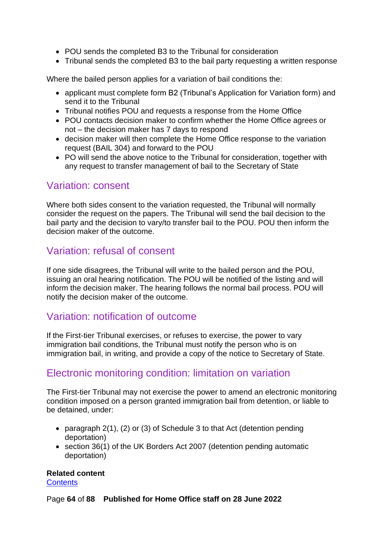- POU sends the completed B3 to the Tribunal for consideration
- Tribunal sends the completed B3 to the bail party requesting a written response

Where the bailed person applies for a variation of bail conditions the:

- applicant must complete form B2 (Tribunal's Application for Variation form) and send it to the Tribunal
- Tribunal notifies POU and requests a response from the Home Office
- POU contacts decision maker to confirm whether the Home Office agrees or not – the decision maker has 7 days to respond
- decision maker will then complete the Home Office response to the variation request (BAIL 304) and forward to the POU
- PO will send the above notice to the Tribunal for consideration, together with any request to transfer management of bail to the Secretary of State

## Variation: consent

Where both sides consent to the variation requested, the Tribunal will normally consider the request on the papers. The Tribunal will send the bail decision to the bail party and the decision to vary/to transfer bail to the POU. POU then inform the decision maker of the outcome.

## Variation: refusal of consent

If one side disagrees, the Tribunal will write to the bailed person and the POU, issuing an oral hearing notification. The POU will be notified of the listing and will inform the decision maker. The hearing follows the normal bail process. POU will notify the decision maker of the outcome.

## Variation: notification of outcome

If the First-tier Tribunal exercises, or refuses to exercise, the power to vary immigration bail conditions, the Tribunal must notify the person who is on immigration bail, in writing, and provide a copy of the notice to Secretary of State.

## <span id="page-63-0"></span>Electronic monitoring condition: limitation on variation

The First-tier Tribunal may not exercise the power to amend an electronic monitoring condition imposed on a person granted immigration bail from detention, or liable to be detained, under:

- paragraph 2(1), (2) or (3) of Schedule 3 to that Act (detention pending deportation)
- section 36(1) of the UK Borders Act 2007 (detention pending automatic deportation)

# **Related content**

**[Contents](#page-1-0)** 

Page **64** of **88 Published for Home Office staff on 28 June 2022**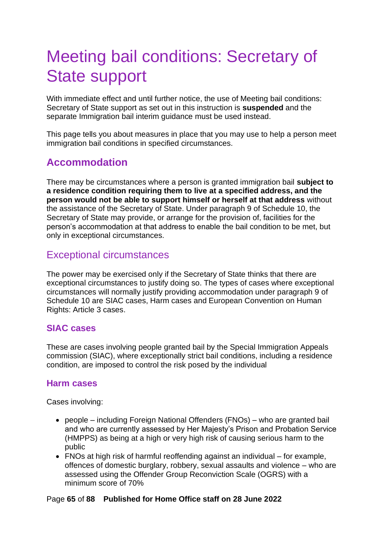# Meeting bail conditions: Secretary of State support

With immediate effect and until further notice, the use of Meeting bail conditions: Secretary of State support as set out in this instruction is **suspended** and the separate Immigration bail interim guidance must be used instead.

This page tells you about measures in place that you may use to help a person meet immigration bail conditions in specified circumstances.

# **Accommodation**

There may be circumstances where a person is granted immigration bail **subject to a residence condition requiring them to live at a specified address, and the person would not be able to support himself or herself at that address** without the assistance of the Secretary of State. Under paragraph 9 of Schedule 10, the Secretary of State may provide, or arrange for the provision of, facilities for the person's accommodation at that address to enable the bail condition to be met, but only in exceptional circumstances.

## <span id="page-64-0"></span>Exceptional circumstances

The power may be exercised only if the Secretary of State thinks that there are exceptional circumstances to justify doing so. The types of cases where exceptional circumstances will normally justify providing accommodation under paragraph 9 of Schedule 10 are SIAC cases, Harm cases and European Convention on Human Rights: Article 3 cases.

### <span id="page-64-2"></span>**SIAC cases**

These are cases involving people granted bail by the Special Immigration Appeals commission (SIAC), where exceptionally strict bail conditions, including a residence condition, are imposed to control the risk posed by the individual

## <span id="page-64-1"></span>**Harm cases**

Cases involving:

- people including Foreign National Offenders (FNOs) who are granted bail and who are currently assessed by Her Majesty's Prison and Probation Service (HMPPS) as being at a high or very high risk of causing serious harm to the public
- FNOs at high risk of harmful reoffending against an individual for example, offences of domestic burglary, robbery, sexual assaults and violence – who are assessed using the Offender Group Reconviction Scale (OGRS) with a minimum score of 70%

#### Page **65** of **88 Published for Home Office staff on 28 June 2022**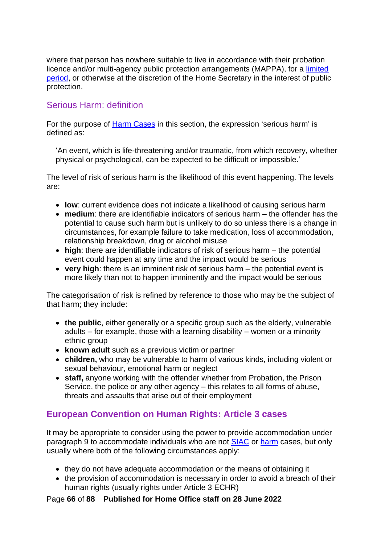where that person has nowhere suitable to live in accordance with their probation licence and/or multi-agency public protection arrangements (MAPPA), for a [limited](#page-65-0)  [period,](#page-65-0) or otherwise at the discretion of the Home Secretary in the interest of public protection.

### Serious Harm: definition

For the purpose of [Harm Cases](#page-64-1) in this section, the expression 'serious harm' is defined as:

'An event, which is life-threatening and/or traumatic, from which recovery, whether physical or psychological, can be expected to be difficult or impossible.'

The level of risk of serious harm is the likelihood of this event happening. The levels are:

- **low**: current evidence does not indicate a likelihood of causing serious harm
- **medium**: there are identifiable indicators of serious harm the offender has the potential to cause such harm but is unlikely to do so unless there is a change in circumstances, for example failure to take medication, loss of accommodation, relationship breakdown, drug or alcohol misuse
- **high**: there are identifiable indicators of risk of serious harm the potential event could happen at any time and the impact would be serious
- **very high**: there is an imminent risk of serious harm the potential event is more likely than not to happen imminently and the impact would be serious

The categorisation of risk is refined by reference to those who may be the subject of that harm; they include:

- **the public**, either generally or a specific group such as the elderly, vulnerable adults – for example, those with a learning disability – women or a minority ethnic group
- **known adult** such as a previous victim or partner
- **children,** who may be vulnerable to harm of various kinds, including violent or sexual behaviour, emotional harm or neglect
- **staff,** anyone working with the offender whether from Probation, the Prison Service, the police or any other agency – this relates to all forms of abuse, threats and assaults that arise out of their employment

## <span id="page-65-0"></span>**European Convention on Human Rights: Article 3 cases**

It may be appropriate to consider using the power to provide accommodation under paragraph 9 to accommodate individuals who are not [SIAC](#page-64-2) or [harm](#page-64-1) cases, but only usually where both of the following circumstances apply:

- they do not have adequate accommodation or the means of obtaining it
- the provision of accommodation is necessary in order to avoid a breach of their human rights (usually rights under Article 3 ECHR)

Page **66** of **88 Published for Home Office staff on 28 June 2022**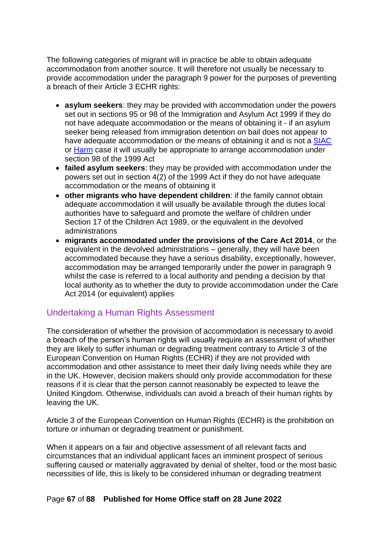The following categories of migrant will in practice be able to obtain adequate accommodation from another source. It will therefore not usually be necessary to provide accommodation under the paragraph 9 power for the purposes of preventing a breach of their Article 3 ECHR rights:

- **asylum seekers**: they may be provided with accommodation under the powers set out in sections 95 or 98 of the Immigration and Asylum Act 1999 if they do not have adequate accommodation or the means of obtaining it - if an asylum seeker being released from immigration detention on bail does not appear to have adequate accommodation or the means of obtaining it and is not a [SIAC](#page-64-2) or [Harm](#page-64-1) case it will usually be appropriate to arrange accommodation under section 98 of the 1999 Act
- **failed asylum seekers**: they may be provided with accommodation under the powers set out in section 4(2) of the 1999 Act if they do not have adequate accommodation or the means of obtaining it
- **other migrants who have dependent children**: if the family cannot obtain adequate accommodation it will usually be available through the duties local authorities have to safeguard and promote the welfare of children under Section 17 of the Children Act 1989, or the equivalent in the devolved administrations
- **migrants accommodated under the provisions of the Care Act 2014**, or the equivalent in the devolved administrations – generally, they will have been accommodated because they have a serious disability, exceptionally, however, accommodation may be arranged temporarily under the power in paragraph 9 whilst the case is referred to a local authority and pending a decision by that local authority as to whether the duty to provide accommodation under the Care Act 2014 (or equivalent) applies

## Undertaking a Human Rights Assessment

The consideration of whether the provision of accommodation is necessary to avoid a breach of the person's human rights will usually require an assessment of whether they are likely to suffer inhuman or degrading treatment contrary to Article 3 of the European Convention on Human Rights (ECHR) if they are not provided with accommodation and other assistance to meet their daily living needs while they are in the UK. However, decision makers should only provide accommodation for these reasons if it is clear that the person cannot reasonably be expected to leave the United Kingdom. Otherwise, individuals can avoid a breach of their human rights by leaving the UK.

Article 3 of the European Convention on Human Rights (ECHR) is the prohibition on torture or inhuman or degrading treatment or punishment.

When it appears on a fair and objective assessment of all relevant facts and circumstances that an individual applicant faces an imminent prospect of serious suffering caused or materially aggravated by denial of shelter, food or the most basic necessities of life, this is likely to be considered inhuman or degrading treatment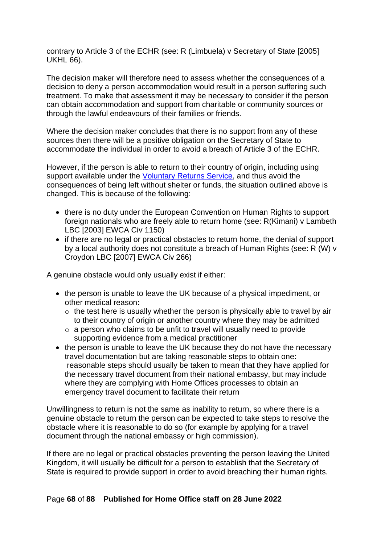contrary to Article 3 of the ECHR (see: R (Limbuela) v Secretary of State [2005] UKHL 66).

The decision maker will therefore need to assess whether the consequences of a decision to deny a person accommodation would result in a person suffering such treatment. To make that assessment it may be necessary to consider if the person can obtain accommodation and support from charitable or community sources or through the lawful endeavours of their families or friends.

Where the decision maker concludes that there is no support from any of these sources then there will be a positive obligation on the Secretary of State to accommodate the individual in order to avoid a breach of Article 3 of the ECHR.

However, if the person is able to return to their country of origin, including using support available under the [Voluntary Returns Service,](https://www.gov.uk/return-home-voluntarily) and thus avoid the consequences of being left without shelter or funds, the situation outlined above is changed. This is because of the following:

- there is no duty under the European Convention on Human Rights to support foreign nationals who are freely able to return home (see: R(Kimani) v Lambeth LBC [2003] EWCA Civ 1150)
- if there are no legal or practical obstacles to return home, the denial of support by a local authority does not constitute a breach of Human Rights (see: R (W) v Croydon LBC [2007] EWCA Civ 266)

A genuine obstacle would only usually exist if either:

- the person is unable to leave the UK because of a physical impediment, or other medical reason**:** 
	- $\circ$  the test here is usually whether the person is physically able to travel by air to their country of origin or another country where they may be admitted
	- o a person who claims to be unfit to travel will usually need to provide supporting evidence from a medical practitioner
- the person is unable to leave the UK because they do not have the necessary travel documentation but are taking reasonable steps to obtain one: reasonable steps should usually be taken to mean that they have applied for the necessary travel document from their national embassy, but may include where they are complying with Home Offices processes to obtain an emergency travel document to facilitate their return

Unwillingness to return is not the same as inability to return, so where there is a genuine obstacle to return the person can be expected to take steps to resolve the obstacle where it is reasonable to do so (for example by applying for a travel document through the national embassy or high commission).

If there are no legal or practical obstacles preventing the person leaving the United Kingdom, it will usually be difficult for a person to establish that the Secretary of State is required to provide support in order to avoid breaching their human rights.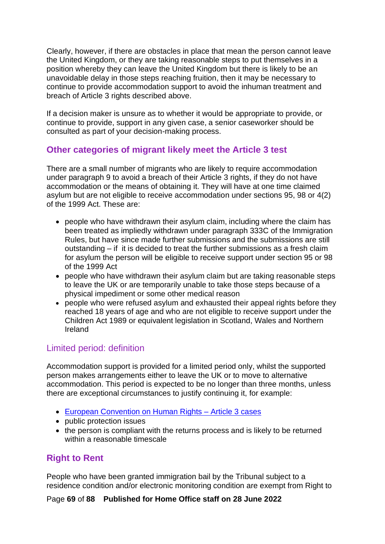Clearly, however, if there are obstacles in place that mean the person cannot leave the United Kingdom, or they are taking reasonable steps to put themselves in a position whereby they can leave the United Kingdom but there is likely to be an unavoidable delay in those steps reaching fruition, then it may be necessary to continue to provide accommodation support to avoid the inhuman treatment and breach of Article 3 rights described above.

If a decision maker is unsure as to whether it would be appropriate to provide, or continue to provide, support in any given case, a senior caseworker should be consulted as part of your decision-making process.

## **Other categories of migrant likely meet the Article 3 test**

There are a small number of migrants who are likely to require accommodation under paragraph 9 to avoid a breach of their Article 3 rights, if they do not have accommodation or the means of obtaining it. They will have at one time claimed asylum but are not eligible to receive accommodation under sections 95, 98 or 4(2) of the 1999 Act. These are:

- people who have withdrawn their asylum claim, including where the claim has been treated as impliedly withdrawn under paragraph 333C of the Immigration Rules, but have since made further submissions and the submissions are still outstanding – if it is decided to treat the further submissions as a fresh claim for asylum the person will be eligible to receive support under section 95 or 98 of the 1999 Act
- people who have withdrawn their asylum claim but are taking reasonable steps to leave the UK or are temporarily unable to take those steps because of a physical impediment or some other medical reason
- people who were refused asylum and exhausted their appeal rights before they reached 18 years of age and who are not eligible to receive support under the Children Act 1989 or equivalent legislation in Scotland, Wales and Northern Ireland

## Limited period: definition

Accommodation support is provided for a limited period only, whilst the supported person makes arrangements either to leave the UK or to move to alternative accommodation. This period is expected to be no longer than three months, unless there are exceptional circumstances to justify continuing it, for example:

- [European Convention on Human Rights –](#page-65-0) Article 3 cases
- public protection issues
- the person is compliant with the returns process and is likely to be returned within a reasonable timescale

## **Right to Rent**

People who have been granted immigration bail by the Tribunal subject to a residence condition and/or electronic monitoring condition are exempt from Right to

Page **69** of **88 Published for Home Office staff on 28 June 2022**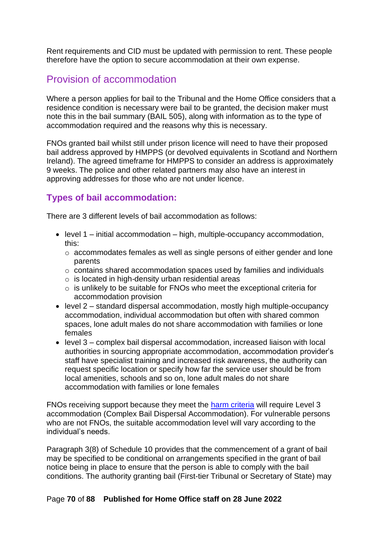Rent requirements and CID must be updated with permission to rent. These people therefore have the option to secure accommodation at their own expense.

# Provision of accommodation

Where a person applies for bail to the Tribunal and the Home Office considers that a residence condition is necessary were bail to be granted, the decision maker must note this in the bail summary (BAIL 505), along with information as to the type of accommodation required and the reasons why this is necessary.

FNOs granted bail whilst still under prison licence will need to have their proposed bail address approved by HMPPS (or devolved equivalents in Scotland and Northern Ireland). The agreed timeframe for HMPPS to consider an address is approximately 9 weeks. The police and other related partners may also have an interest in approving addresses for those who are not under licence.

## **Types of bail accommodation:**

There are 3 different levels of bail accommodation as follows:

- level 1 initial accommodation high, multiple-occupancy accommodation, this:
	- o accommodates females as well as single persons of either gender and lone parents
	- o contains shared accommodation spaces used by families and individuals
	- $\circ$  is located in high-density urban residential areas
	- o is unlikely to be suitable for FNOs who meet the exceptional criteria for accommodation provision
- level 2 standard dispersal accommodation, mostly high multiple-occupancy accommodation, individual accommodation but often with shared common spaces, lone adult males do not share accommodation with families or lone females
- level 3 complex bail dispersal accommodation, increased liaison with local authorities in sourcing appropriate accommodation, accommodation provider's staff have specialist training and increased risk awareness, the authority can request specific location or specify how far the service user should be from local amenities, schools and so on, lone adult males do not share accommodation with families or lone females

FNOs receiving support because they meet the [harm criteria](#page-64-1) will require Level 3 accommodation (Complex Bail Dispersal Accommodation). For vulnerable persons who are not FNOs, the suitable accommodation level will vary according to the individual's needs.

Paragraph 3(8) of Schedule 10 provides that the commencement of a grant of bail may be specified to be conditional on arrangements specified in the grant of bail notice being in place to ensure that the person is able to comply with the bail conditions. The authority granting bail (First-tier Tribunal or Secretary of State) may

#### Page **70** of **88 Published for Home Office staff on 28 June 2022**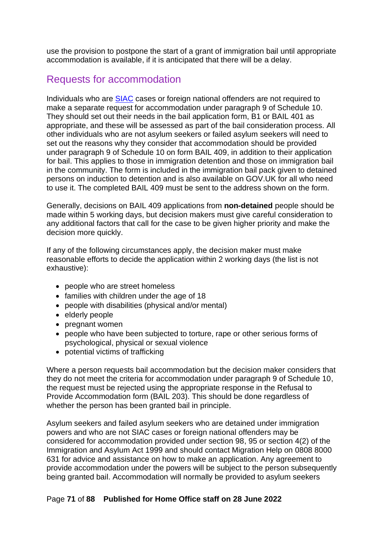use the provision to postpone the start of a grant of immigration bail until appropriate accommodation is available, if it is anticipated that there will be a delay.

# Requests for accommodation

Individuals who are [SIAC](#page-64-2) cases or foreign national offenders are not required to make a separate request for accommodation under paragraph 9 of Schedule 10. They should set out their needs in the bail application form, B1 or BAIL 401 as appropriate, and these will be assessed as part of the bail consideration process. All other individuals who are not asylum seekers or failed asylum seekers will need to set out the reasons why they consider that accommodation should be provided under paragraph 9 of Schedule 10 on form BAIL 409, in addition to their application for bail. This applies to those in immigration detention and those on immigration bail in the community. The form is included in the immigration bail pack given to detained persons on induction to detention and is also available on GOV.UK for all who need to use it. The completed BAIL 409 must be sent to the address shown on the form.

Generally, decisions on BAIL 409 applications from **non-detained** people should be made within 5 working days, but decision makers must give careful consideration to any additional factors that call for the case to be given higher priority and make the decision more quickly.

If any of the following circumstances apply, the decision maker must make reasonable efforts to decide the application within 2 working days (the list is not exhaustive):

- people who are street homeless
- families with children under the age of 18
- people with disabilities (physical and/or mental)
- elderly people
- pregnant women
- people who have been subjected to torture, rape or other serious forms of psychological, physical or sexual violence
- potential victims of trafficking

Where a person requests bail accommodation but the decision maker considers that they do not meet the criteria for accommodation under paragraph 9 of Schedule 10, the request must be rejected using the appropriate response in the Refusal to Provide Accommodation form (BAIL 203). This should be done regardless of whether the person has been granted bail in principle.

Asylum seekers and failed asylum seekers who are detained under immigration powers and who are not SIAC cases or foreign national offenders may be considered for accommodation provided under section 98, 95 or section 4(2) of the Immigration and Asylum Act 1999 and should contact Migration Help on 0808 8000 631 for advice and assistance on how to make an application. Any agreement to provide accommodation under the powers will be subject to the person subsequently being granted bail. Accommodation will normally be provided to asylum seekers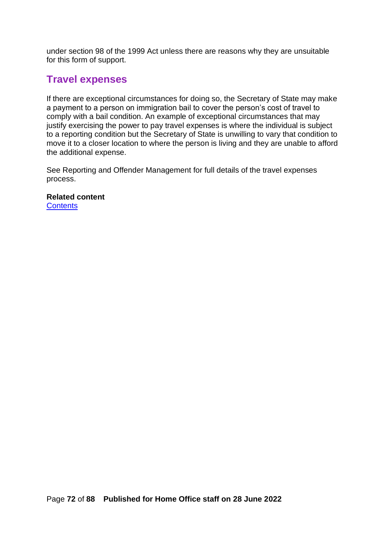under section 98 of the 1999 Act unless there are reasons why they are unsuitable for this form of support.

## **Travel expenses**

If there are exceptional circumstances for doing so, the Secretary of State may make a payment to a person on immigration bail to cover the person's cost of travel to comply with a bail condition. An example of exceptional circumstances that may justify exercising the power to pay travel expenses is where the individual is subject to a reporting condition but the Secretary of State is unwilling to vary that condition to move it to a closer location to where the person is living and they are unable to afford the additional expense.

See Reporting and Offender Management for full details of the travel expenses process.

**Related content [Contents](#page-1-0)**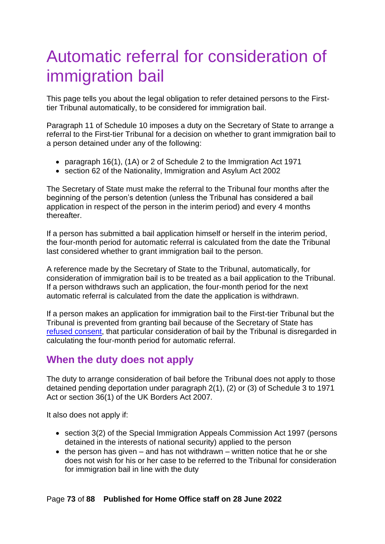## Automatic referral for consideration of immigration bail

This page tells you about the legal obligation to refer detained persons to the Firsttier Tribunal automatically, to be considered for immigration bail.

Paragraph 11 of Schedule 10 imposes a duty on the Secretary of State to arrange a referral to the First-tier Tribunal for a decision on whether to grant immigration bail to a person detained under any of the following:

- paragraph 16(1), (1A) or 2 of Schedule 2 to the Immigration Act 1971
- section 62 of the Nationality, Immigration and Asylum Act 2002

The Secretary of State must make the referral to the Tribunal four months after the beginning of the person's detention (unless the Tribunal has considered a bail application in respect of the person in the interim period) and every 4 months thereafter.

If a person has submitted a bail application himself or herself in the interim period, the four-month period for automatic referral is calculated from the date the Tribunal last considered whether to grant immigration bail to the person.

A reference made by the Secretary of State to the Tribunal, automatically, for consideration of immigration bail is to be treated as a bail application to the Tribunal. If a person withdraws such an application, the four-month period for the next automatic referral is calculated from the date the application is withdrawn.

If a person makes an application for immigration bail to the First-tier Tribunal but the Tribunal is prevented from granting bail because of the Secretary of State has [refused consent,](#page-57-0) that particular consideration of bail by the Tribunal is disregarded in calculating the four-month period for automatic referral.

### **When the duty does not apply**

The duty to arrange consideration of bail before the Tribunal does not apply to those detained pending deportation under paragraph 2(1), (2) or (3) of Schedule 3 to 1971 Act or section 36(1) of the UK Borders Act 2007.

It also does not apply if:

- section 3(2) of the Special Immigration Appeals Commission Act 1997 (persons detained in the interests of national security) applied to the person
- $\bullet$  the person has given and has not withdrawn written notice that he or she does not wish for his or her case to be referred to the Tribunal for consideration for immigration bail in line with the duty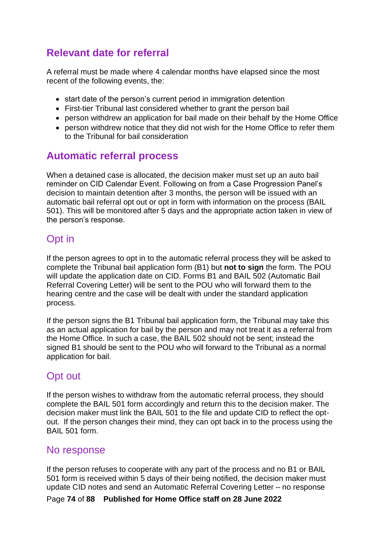### **Relevant date for referral**

A referral must be made where 4 calendar months have elapsed since the most recent of the following events, the:

- start date of the person's current period in immigration detention
- First-tier Tribunal last considered whether to grant the person bail
- person withdrew an application for bail made on their behalf by the Home Office
- person withdrew notice that they did not wish for the Home Office to refer them to the Tribunal for bail consideration

#### **Automatic referral process**

When a detained case is allocated, the decision maker must set up an auto bail reminder on CID Calendar Event. Following on from a Case Progression Panel's decision to maintain detention after 3 months, the person will be issued with an automatic bail referral opt out or opt in form with information on the process (BAIL 501). This will be monitored after 5 days and the appropriate action taken in view of the person's response.

### Opt in

If the person agrees to opt in to the automatic referral process they will be asked to complete the Tribunal bail application form (B1) but **not to sign** the form. The POU will update the application date on CID. Forms B1 and BAIL 502 (Automatic Bail Referral Covering Letter) will be sent to the POU who will forward them to the hearing centre and the case will be dealt with under the standard application process.

If the person signs the B1 Tribunal bail application form, the Tribunal may take this as an actual application for bail by the person and may not treat it as a referral from the Home Office. In such a case, the BAIL 502 should not be sent; instead the signed B1 should be sent to the POU who will forward to the Tribunal as a normal application for bail.

### Opt out

If the person wishes to withdraw from the automatic referral process, they should complete the BAIL 501 form accordingly and return this to the decision maker. The decision maker must link the BAIL 501 to the file and update CID to reflect the optout. If the person changes their mind, they can opt back in to the process using the BAIL 501 form.

#### No response

If the person refuses to cooperate with any part of the process and no B1 or BAIL 501 form is received within 5 days of their being notified, the decision maker must update CID notes and send an Automatic Referral Covering Letter – no response

Page **74** of **88 Published for Home Office staff on 28 June 2022**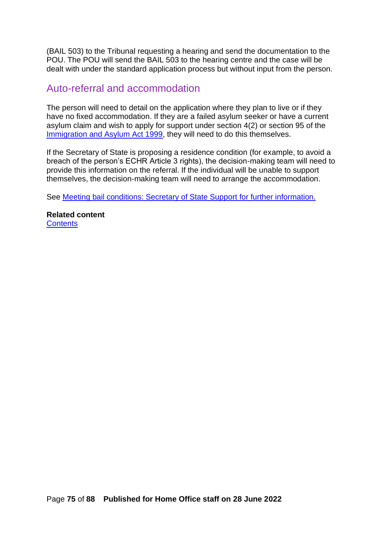(BAIL 503) to the Tribunal requesting a hearing and send the documentation to the POU. The POU will send the BAIL 503 to the hearing centre and the case will be dealt with under the standard application process but without input from the person.

#### Auto-referral and accommodation

The person will need to detail on the application where they plan to live or if they have no fixed accommodation. If they are a failed asylum seeker or have a current asylum claim and wish to apply for support under section 4(2) or section 95 of the [Immigration and Asylum Act 1999,](http://www.legislation.gov.uk/ukpga/1999/33/contents) they will need to do this themselves.

If the Secretary of State is proposing a residence condition (for example, to avoid a breach of the person's ECHR Article 3 rights), the decision-making team will need to provide this information on the referral. If the individual will be unable to support themselves, the decision-making team will need to arrange the accommodation.

See [Meeting bail conditions: Secretary of State Support](#page-64-0) for further information.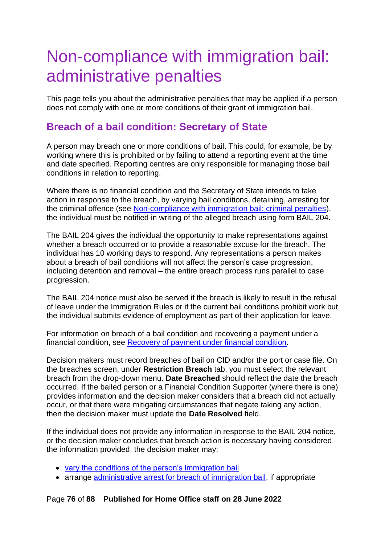# Non-compliance with immigration bail: administrative penalties

This page tells you about the administrative penalties that may be applied if a person does not comply with one or more conditions of their grant of immigration bail.

#### **Breach of a bail condition: Secretary of State**

A person may breach one or more conditions of bail. This could, for example, be by working where this is prohibited or by failing to attend a reporting event at the time and date specified. Reporting centres are only responsible for managing those bail conditions in relation to reporting.

Where there is no financial condition and the Secretary of State intends to take action in response to the breach, by varying bail conditions, detaining, arresting for the criminal offence (see [Non-compliance with immigration bail: criminal penalties\)](#page-80-0), the individual must be notified in writing of the alleged breach using form BAIL 204.

The BAIL 204 gives the individual the opportunity to make representations against whether a breach occurred or to provide a reasonable excuse for the breach. The individual has 10 working days to respond. Any representations a person makes about a breach of bail conditions will not affect the person's case progression, including detention and removal – the entire breach process runs parallel to case progression.

The BAIL 204 notice must also be served if the breach is likely to result in the refusal of leave under the Immigration Rules or if the current bail conditions prohibit work but the individual submits evidence of employment as part of their application for leave.

For information on breach of a bail condition and recovering a payment under a financial condition, see [Recovery of payment under financial](#page-76-0) condition.

Decision makers must record breaches of bail on CID and/or the port or case file. On the breaches screen, under **Restriction Breach** tab, you must select the relevant breach from the drop-down menu. **Date Breached** should reflect the date the breach occurred. If the bailed person or a Financial Condition Supporter (where there is one) provides information and the decision maker considers that a breach did not actually occur, or that there were mitigating circumstances that negate taking any action, then the decision maker must update the **Date Resolved** field.

If the individual does not provide any information in response to the BAIL 204 notice, or the decision maker concludes that breach action is necessary having considered the information provided, the decision maker may:

- [vary the conditions of the person's immigration bail](#page-62-0)
- arrange [administrative arrest for breach of immigration bail,](#page-77-0) if appropriate

Page **76** of **88 Published for Home Office staff on 28 June 2022**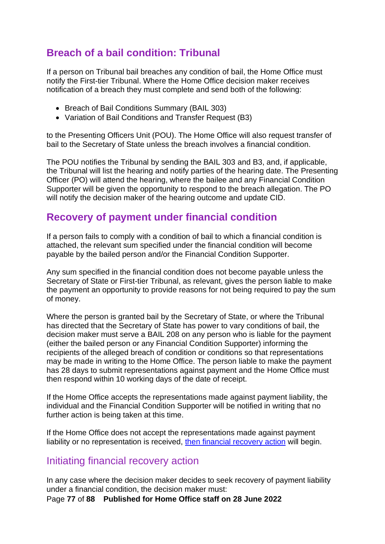#### <span id="page-76-2"></span>**Breach of a bail condition: Tribunal**

If a person on Tribunal bail breaches any condition of bail, the Home Office must notify the First-tier Tribunal. Where the Home Office decision maker receives notification of a breach they must complete and send both of the following:

- Breach of Bail Conditions Summary (BAIL 303)
- Variation of Bail Conditions and Transfer Request (B3)

to the Presenting Officers Unit (POU). The Home Office will also request transfer of bail to the Secretary of State unless the breach involves a financial condition.

The POU notifies the Tribunal by sending the BAIL 303 and B3, and, if applicable, the Tribunal will list the hearing and notify parties of the hearing date. The Presenting Officer (PO) will attend the hearing, where the bailee and any Financial Condition Supporter will be given the opportunity to respond to the breach allegation. The PO will notify the decision maker of the hearing outcome and update CID.

#### <span id="page-76-0"></span>**Recovery of payment under financial condition**

If a person fails to comply with a condition of bail to which a financial condition is attached, the relevant sum specified under the financial condition will become payable by the bailed person and/or the Financial Condition Supporter.

Any sum specified in the financial condition does not become payable unless the Secretary of State or First-tier Tribunal, as relevant, gives the person liable to make the payment an opportunity to provide reasons for not being required to pay the sum of money.

Where the person is granted bail by the Secretary of State, or where the Tribunal has directed that the Secretary of State has power to vary conditions of bail, the decision maker must serve a BAIL 208 on any person who is liable for the payment (either the bailed person or any Financial Condition Supporter) informing the recipients of the alleged breach of condition or conditions so that representations may be made in writing to the Home Office. The person liable to make the payment has 28 days to submit representations against payment and the Home Office must then respond within 10 working days of the date of receipt.

If the Home Office accepts the representations made against payment liability, the individual and the Financial Condition Supporter will be notified in writing that no further action is being taken at this time.

If the Home Office does not accept the representations made against payment liability or no representation is received, [then financial recovery action](#page-76-1) will begin.

#### <span id="page-76-1"></span>Initiating financial recovery action

In any case where the decision maker decides to seek recovery of payment liability under a financial condition, the decision maker must:

Page **77** of **88 Published for Home Office staff on 28 June 2022**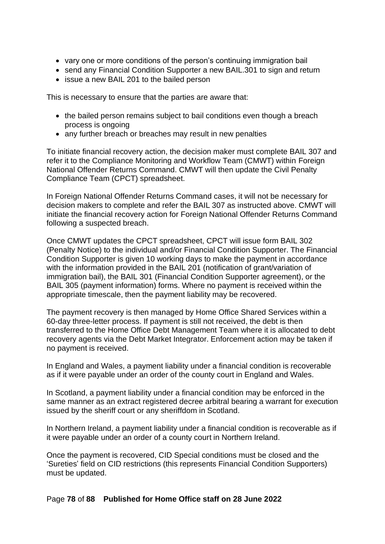- vary one or more conditions of the person's continuing immigration bail
- send any Financial Condition Supporter a new BAIL.301 to sign and return
- issue a new BAIL 201 to the bailed person

This is necessary to ensure that the parties are aware that:

- the bailed person remains subject to bail conditions even though a breach process is ongoing
- any further breach or breaches may result in new penalties

To initiate financial recovery action, the decision maker must complete BAIL 307 and refer it to the Compliance Monitoring and Workflow Team (CMWT) within Foreign National Offender Returns Command. CMWT will then update the Civil Penalty Compliance Team (CPCT) spreadsheet.

In Foreign National Offender Returns Command cases, it will not be necessary for decision makers to complete and refer the BAIL 307 as instructed above. CMWT will initiate the financial recovery action for Foreign National Offender Returns Command following a suspected breach.

Once CMWT updates the CPCT spreadsheet, CPCT will issue form BAIL 302 (Penalty Notice) to the individual and/or Financial Condition Supporter. The Financial Condition Supporter is given 10 working days to make the payment in accordance with the information provided in the BAIL 201 (notification of grant/variation of immigration bail), the BAIL 301 (Financial Condition Supporter agreement), or the BAIL 305 (payment information) forms. Where no payment is received within the appropriate timescale, then the payment liability may be recovered.

The payment recovery is then managed by Home Office Shared Services within a 60-day three-letter process. If payment is still not received, the debt is then transferred to the Home Office Debt Management Team where it is allocated to debt recovery agents via the Debt Market Integrator. Enforcement action may be taken if no payment is received.

In England and Wales, a payment liability under a financial condition is recoverable as if it were payable under an order of the county court in England and Wales.

In Scotland, a payment liability under a financial condition may be enforced in the same manner as an extract registered decree arbitral bearing a warrant for execution issued by the sheriff court or any sheriffdom in Scotland.

In Northern Ireland, a payment liability under a financial condition is recoverable as if it were payable under an order of a county court in Northern Ireland.

<span id="page-77-0"></span>Once the payment is recovered, CID Special conditions must be closed and the 'Sureties' field on CID restrictions (this represents Financial Condition Supporters) must be updated.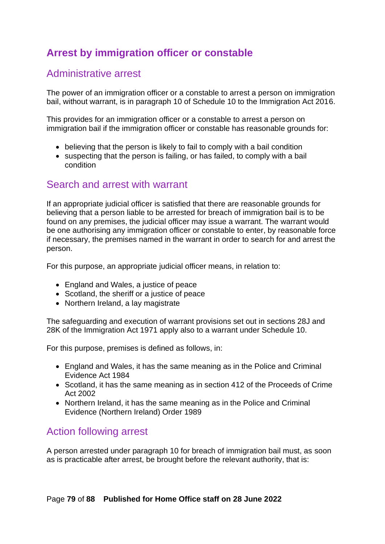## **Arrest by immigration officer or constable**

#### Administrative arrest

The power of an immigration officer or a constable to arrest a person on immigration bail, without warrant, is in paragraph 10 of Schedule 10 to the Immigration Act 2016.

This provides for an immigration officer or a constable to arrest a person on immigration bail if the immigration officer or constable has reasonable grounds for:

- believing that the person is likely to fail to comply with a bail condition
- suspecting that the person is failing, or has failed, to comply with a bail condition

#### Search and arrest with warrant

If an appropriate judicial officer is satisfied that there are reasonable grounds for believing that a person liable to be arrested for breach of immigration bail is to be found on any premises, the judicial officer may issue a warrant. The warrant would be one authorising any immigration officer or constable to enter, by reasonable force if necessary, the premises named in the warrant in order to search for and arrest the person.

For this purpose, an appropriate judicial officer means, in relation to:

- England and Wales, a justice of peace
- Scotland, the sheriff or a justice of peace
- Northern Ireland, a lay magistrate

The safeguarding and execution of warrant provisions set out in sections 28J and 28K of the Immigration Act 1971 apply also to a warrant under Schedule 10.

For this purpose, premises is defined as follows, in:

- England and Wales, it has the same meaning as in the Police and Criminal Evidence Act 1984
- Scotland, it has the same meaning as in section 412 of the Proceeds of Crime Act 2002
- Northern Ireland, it has the same meaning as in the Police and Criminal Evidence (Northern Ireland) Order 1989

#### Action following arrest

A person arrested under paragraph 10 for breach of immigration bail must, as soon as is practicable after arrest, be brought before the relevant authority, that is: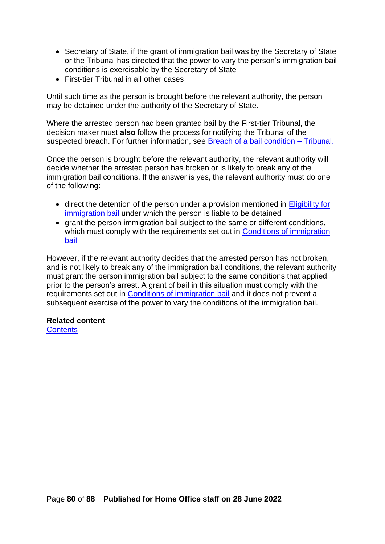- Secretary of State, if the grant of immigration bail was by the Secretary of State or the Tribunal has directed that the power to vary the person's immigration bail conditions is exercisable by the Secretary of State
- First-tier Tribunal in all other cases

Until such time as the person is brought before the relevant authority, the person may be detained under the authority of the Secretary of State.

Where the arrested person had been granted bail by the First-tier Tribunal, the decision maker must **also** follow the process for notifying the Tribunal of the suspected breach. For further information, see [Breach of a bail condition –](#page-76-2) Tribunal.

Once the person is brought before the relevant authority, the relevant authority will decide whether the arrested person has broken or is likely to break any of the immigration bail conditions. If the answer is yes, the relevant authority must do one of the following:

- direct the detention of the person under a provision mentioned in Eligibility for [immigration bail](#page-7-0) under which the person is liable to be detained
- grant the person immigration bail subject to the same or different conditions, which must comply with the requirements set out in Conditions of immigration [bail](#page-10-0)

However, if the relevant authority decides that the arrested person has not broken, and is not likely to break any of the immigration bail conditions, the relevant authority must grant the person immigration bail subject to the same conditions that applied prior to the person's arrest. A grant of bail in this situation must comply with the requirements set out in [Conditions of immigration bail](#page-10-0) and it does not prevent a subsequent exercise of the power to vary the conditions of the immigration bail.

#### **Related content**

**[Contents](#page-1-0)**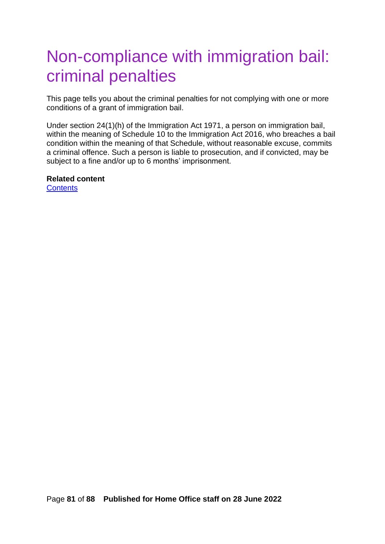## <span id="page-80-0"></span>Non-compliance with immigration bail: criminal penalties

This page tells you about the criminal penalties for not complying with one or more conditions of a grant of immigration bail.

Under section 24(1)(h) of the Immigration Act 1971, a person on immigration bail, within the meaning of Schedule 10 to the Immigration Act 2016, who breaches a bail condition within the meaning of that Schedule, without reasonable excuse, commits a criminal offence. Such a person is liable to prosecution, and if convicted, may be subject to a fine and/or up to 6 months' imprisonment.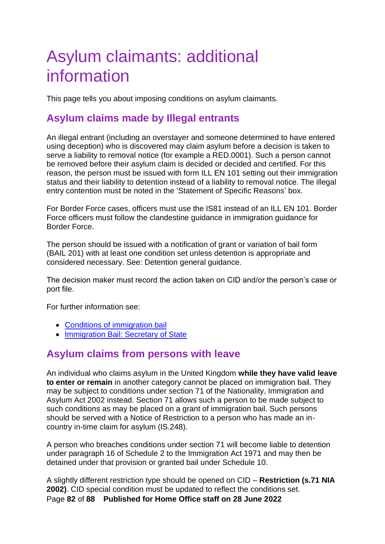# Asylum claimants: additional information

This page tells you about imposing conditions on asylum claimants.

### **Asylum claims made by Illegal entrants**

An illegal entrant (including an overstayer and someone determined to have entered using deception) who is discovered may claim asylum before a decision is taken to serve a liability to removal notice (for example a RED.0001). Such a person cannot be removed before their asylum claim is decided or decided and certified. For this reason, the person must be issued with form ILL EN 101 setting out their immigration status and their liability to detention instead of a liability to removal notice. The illegal entry contention must be noted in the 'Statement of Specific Reasons' box.

For Border Force cases, officers must use the IS81 instead of an ILL EN 101. Border Force officers must follow the clandestine guidance in immigration guidance for Border Force.

The person should be issued with a notification of grant or variation of bail form (BAIL 201) with at least one condition set unless detention is appropriate and considered necessary. See: Detention general guidance.

The decision maker must record the action taken on CID and/or the person's case or port file.

For further information see:

- [Conditions of immigration bail](#page-10-0)
- [Immigration Bail: Secretary of State](#page-45-0)

#### **Asylum claims from persons with leave**

An individual who claims asylum in the United Kingdom **while they have valid leave to enter or remain** in another category cannot be placed on immigration bail. They may be subject to conditions under section 71 of the Nationality, Immigration and Asylum Act 2002 instead. Section 71 allows such a person to be made subject to such conditions as may be placed on a grant of immigration bail. Such persons should be served with a Notice of Restriction to a person who has made an incountry in-time claim for asylum (IS.248).

A person who breaches conditions under section 71 will become liable to detention under paragraph 16 of Schedule 2 to the Immigration Act 1971 and may then be detained under that provision or granted bail under Schedule 10.

Page **82** of **88 Published for Home Office staff on 28 June 2022** A slightly different restriction type should be opened on CID – **Restriction (s.71 NIA 2002)**. CID special condition must be updated to reflect the conditions set.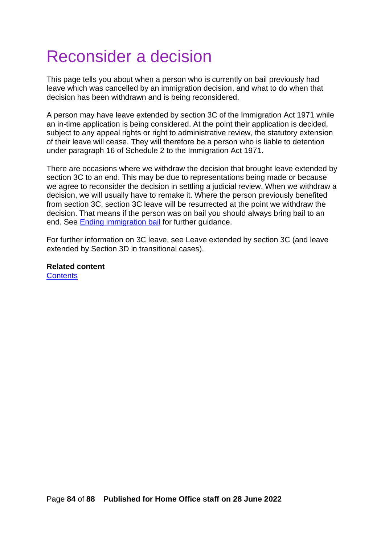# Reconsider a decision

This page tells you about when a person who is currently on bail previously had leave which was cancelled by an immigration decision, and what to do when that decision has been withdrawn and is being reconsidered.

A person may have leave extended by section 3C of the Immigration Act 1971 while an in-time application is being considered. At the point their application is decided, subject to any appeal rights or right to administrative review, the statutory extension of their leave will cease. They will therefore be a person who is liable to detention under paragraph 16 of Schedule 2 to the Immigration Act 1971.

There are occasions where we withdraw the decision that brought leave extended by section 3C to an end. This may be due to representations being made or because we agree to reconsider the decision in settling a judicial review. When we withdraw a decision, we will usually have to remake it. Where the person previously benefited from section 3C, section 3C leave will be resurrected at the point we withdraw the decision. That means if the person was on bail you should always bring bail to an end. See [Ending immigration bail](#page-83-0) for further guidance.

<span id="page-83-0"></span>For further information on 3C leave, see Leave extended by section 3C (and leave extended by Section 3D in transitional cases).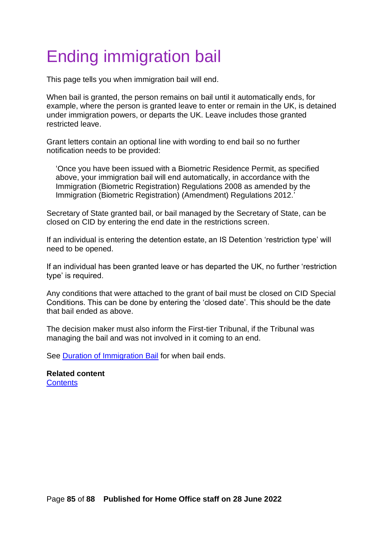# Ending immigration bail

This page tells you when immigration bail will end.

When bail is granted, the person remains on bail until it automatically ends, for example, where the person is granted leave to enter or remain in the UK, is detained under immigration powers, or departs the UK. Leave includes those granted restricted leave.

Grant letters contain an optional line with wording to end bail so no further notification needs to be provided:

'Once you have been issued with a Biometric Residence Permit, as specified above, your immigration bail will end automatically, in accordance with the Immigration (Biometric Registration) Regulations 2008 as amended by the Immigration (Biometric Registration) (Amendment) Regulations 2012.'

Secretary of State granted bail, or bail managed by the Secretary of State, can be closed on CID by entering the end date in the restrictions screen.

If an individual is entering the detention estate, an IS Detention 'restriction type' will need to be opened.

If an individual has been granted leave or has departed the UK, no further 'restriction type' is required.

Any conditions that were attached to the grant of bail must be closed on CID Special Conditions. This can be done by entering the 'closed date'. This should be the date that bail ended as above.

The decision maker must also inform the First-tier Tribunal, if the Tribunal was managing the bail and was not involved in it coming to an end.

See **Duration of Immigration Bail** for when bail ends.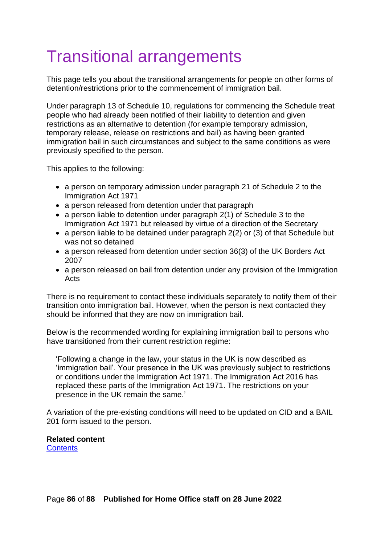# Transitional arrangements

This page tells you about the transitional arrangements for people on other forms of detention/restrictions prior to the commencement of immigration bail.

Under paragraph 13 of Schedule 10, regulations for commencing the Schedule treat people who had already been notified of their liability to detention and given restrictions as an alternative to detention (for example temporary admission, temporary release, release on restrictions and bail) as having been granted immigration bail in such circumstances and subject to the same conditions as were previously specified to the person.

This applies to the following:

- a person on temporary admission under paragraph 21 of Schedule 2 to the Immigration Act 1971
- a person released from detention under that paragraph
- a person liable to detention under paragraph 2(1) of Schedule 3 to the Immigration Act 1971 but released by virtue of a direction of the Secretary
- a person liable to be detained under paragraph 2(2) or (3) of that Schedule but was not so detained
- a person released from detention under section 36(3) of the UK Borders Act 2007
- a person released on bail from detention under any provision of the Immigration Acts

There is no requirement to contact these individuals separately to notify them of their transition onto immigration bail. However, when the person is next contacted they should be informed that they are now on immigration bail.

Below is the recommended wording for explaining immigration bail to persons who have transitioned from their current restriction regime:

'Following a change in the law, your status in the UK is now described as 'immigration bail'. Your presence in the UK was previously subject to restrictions or conditions under the Immigration Act 1971. The Immigration Act 2016 has replaced these parts of the Immigration Act 1971. The restrictions on your presence in the UK remain the same.'

A variation of the pre-existing conditions will need to be updated on CID and a BAIL 201 form issued to the person.

#### **Related content**

**[Contents](#page-1-0)**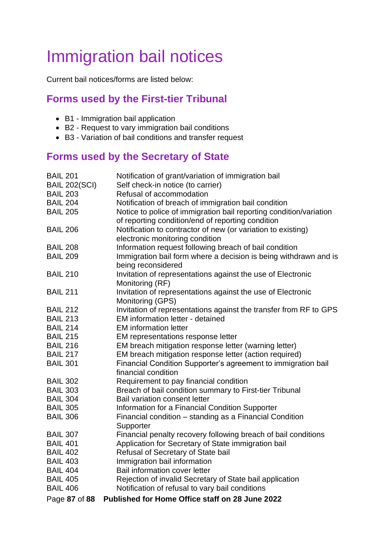# Immigration bail notices

Current bail notices/forms are listed below:

#### **Forms used by the First-tier Tribunal**

- B1 Immigration bail application
- B2 Request to vary immigration bail conditions
- B3 Variation of bail conditions and transfer request

### **Forms used by the Secretary of State**

| <b>BAIL 201</b><br><b>BAIL 202(SCI)</b><br><b>BAIL 203</b><br><b>BAIL 204</b><br><b>BAIL 205</b> | Notification of grant/variation of immigration bail<br>Self check-in notice (to carrier)<br>Refusal of accommodation<br>Notification of breach of immigration bail condition<br>Notice to police of immigration bail reporting condition/variation |
|--------------------------------------------------------------------------------------------------|----------------------------------------------------------------------------------------------------------------------------------------------------------------------------------------------------------------------------------------------------|
| <b>BAIL 206</b>                                                                                  | of reporting condition/end of reporting condition<br>Notification to contractor of new (or variation to existing)<br>electronic monitoring condition                                                                                               |
| <b>BAIL 208</b><br><b>BAIL 209</b>                                                               | Information request following breach of bail condition<br>Immigration bail form where a decision is being withdrawn and is<br>being reconsidered                                                                                                   |
| <b>BAIL 210</b>                                                                                  | Invitation of representations against the use of Electronic<br>Monitoring (RF)                                                                                                                                                                     |
| <b>BAIL 211</b>                                                                                  | Invitation of representations against the use of Electronic<br>Monitoring (GPS)                                                                                                                                                                    |
| <b>BAIL 212</b><br><b>BAIL 213</b><br><b>BAIL 214</b>                                            | Invitation of representations against the transfer from RF to GPS<br>EM information letter - detained<br><b>EM</b> information letter                                                                                                              |
| <b>BAIL 215</b>                                                                                  | EM representations response letter                                                                                                                                                                                                                 |
| <b>BAIL 216</b><br><b>BAIL 217</b><br><b>BAIL 301</b>                                            | EM breach mitigation response letter (warning letter)<br>EM breach mitigation response letter (action required)<br>Financial Condition Supporter's agreement to immigration bail<br>financial condition                                            |
| <b>BAIL 302</b><br><b>BAIL 303</b><br><b>BAIL 304</b>                                            | Requirement to pay financial condition<br>Breach of bail condition summary to First-tier Tribunal<br>Bail variation consent letter                                                                                                                 |
| <b>BAIL 305</b><br><b>BAIL 306</b>                                                               | Information for a Financial Condition Supporter<br>Financial condition - standing as a Financial Condition<br>Supporter                                                                                                                            |
| <b>BAIL 307</b><br><b>BAIL 401</b><br><b>BAIL 402</b><br><b>BAIL 403</b><br><b>BAIL 404</b>      | Financial penalty recovery following breach of bail conditions<br>Application for Secretary of State immigration bail<br>Refusal of Secretary of State bail<br>Immigration bail information<br>Bail information cover letter                       |
| <b>BAIL 405</b><br><b>BAIL 406</b><br>Page 87 of 88                                              | Rejection of invalid Secretary of State bail application<br>Notification of refusal to vary bail conditions<br>Published for Home Office staff on 28 June 2022                                                                                     |